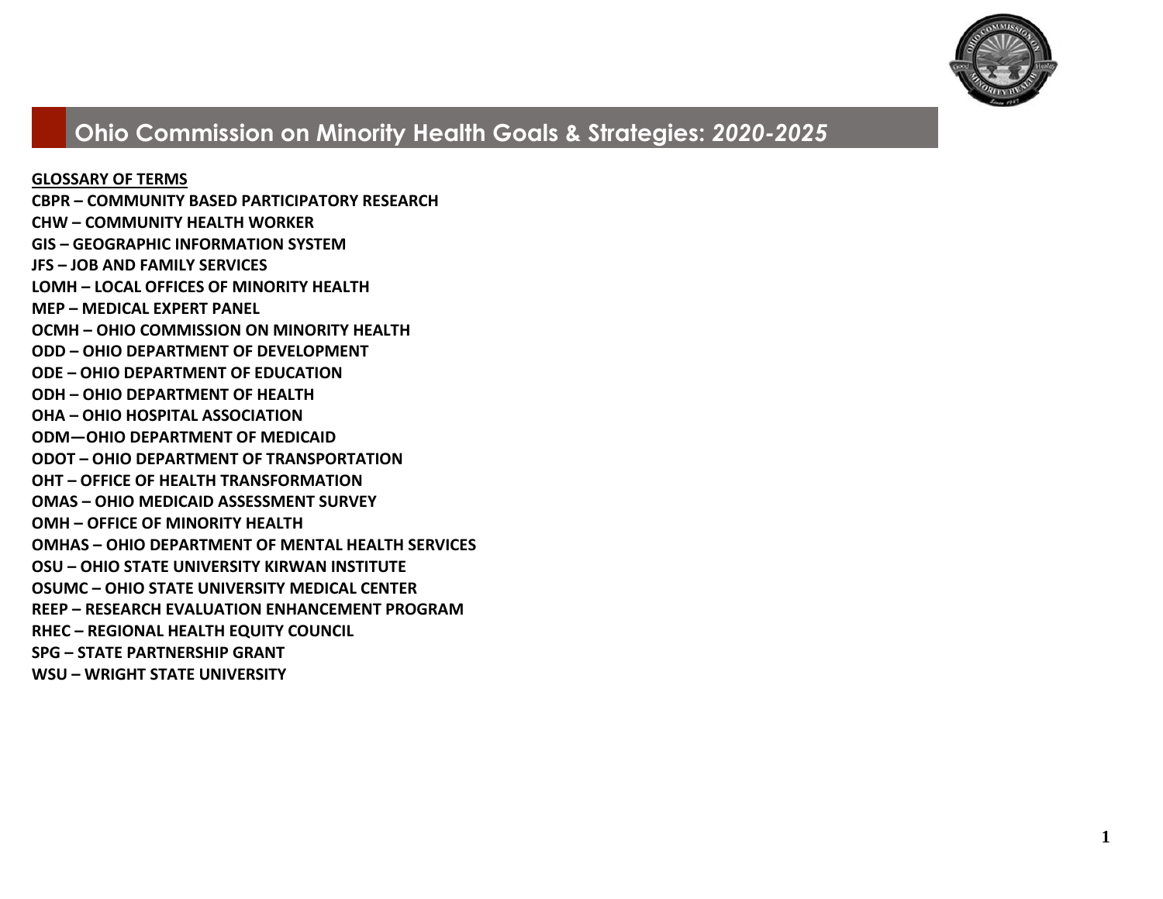

**GLOSSARY OF TERMS CBPR – COMMUNITY BASED PARTICIPATORY RESEARCH CHW – COMMUNITY HEALTH WORKER GIS – GEOGRAPHIC INFORMATION SYSTEM JFS – JOB AND FAMILY SERVICES LOMH – LOCAL OFFICES OF MINORITY HEALTH MEP – MEDICAL EXPERT PANEL OCMH – OHIO COMMISSION ON MINORITY HEALTH ODD – OHIO DEPARTMENT OF DEVELOPMENT ODE – OHIO DEPARTMENT OF EDUCATION ODH – OHIO DEPARTMENT OF HEALTH OHA – OHIO HOSPITAL ASSOCIATION ODM—OHIO DEPARTMENT OF MEDICAID ODOT – OHIO DEPARTMENT OF TRANSPORTATION OHT – OFFICE OF HEALTH TRANSFORMATION OMAS – OHIO MEDICAID ASSESSMENT SURVEY OMH – OFFICE OF MINORITY HEALTH OMHAS – OHIO DEPARTMENT OF MENTAL HEALTH SERVICES OSU – OHIO STATE UNIVERSITY KIRWAN INSTITUTE OSUMC – OHIO STATE UNIVERSITY MEDICAL CENTER REEP – RESEARCH EVALUATION ENHANCEMENT PROGRAM RHEC – REGIONAL HEALTH EQUITY COUNCIL SPG – STATE PARTNERSHIP GRANT WSU – WRIGHT STATE UNIVERSITY**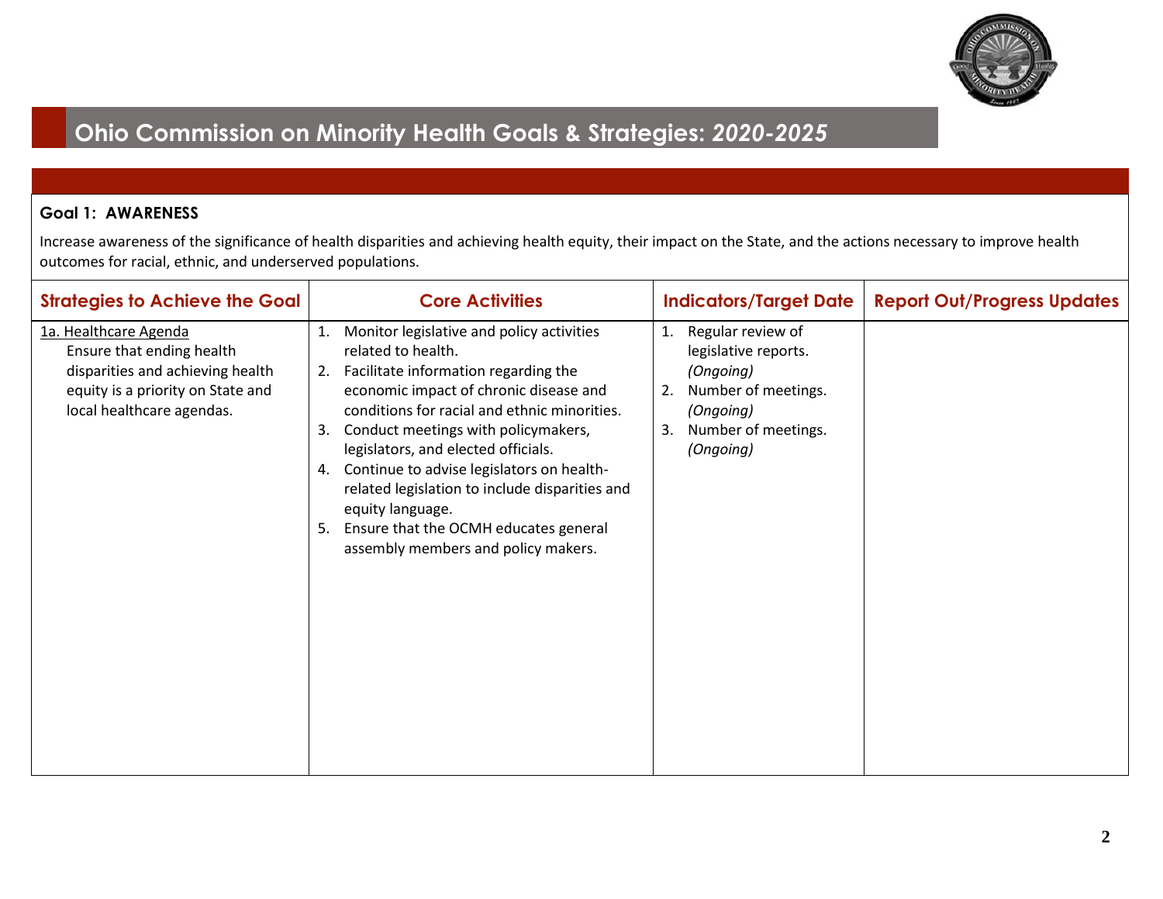

#### **Goal 1: AWARENESS**

| <b>Strategies to Achieve the Goal</b>                                                                                                                    | <b>Core Activities</b>                                                                                                                                                                                                                                                                                                                                                                                                                                                                         | <b>Indicators/Target Date</b>                                                                                                                    | <b>Report Out/Progress Updates</b> |
|----------------------------------------------------------------------------------------------------------------------------------------------------------|------------------------------------------------------------------------------------------------------------------------------------------------------------------------------------------------------------------------------------------------------------------------------------------------------------------------------------------------------------------------------------------------------------------------------------------------------------------------------------------------|--------------------------------------------------------------------------------------------------------------------------------------------------|------------------------------------|
| 1a. Healthcare Agenda<br>Ensure that ending health<br>disparities and achieving health<br>equity is a priority on State and<br>local healthcare agendas. | Monitor legislative and policy activities<br>related to health.<br>2. Facilitate information regarding the<br>economic impact of chronic disease and<br>conditions for racial and ethnic minorities.<br>3. Conduct meetings with policymakers,<br>legislators, and elected officials.<br>4. Continue to advise legislators on health-<br>related legislation to include disparities and<br>equity language.<br>5. Ensure that the OCMH educates general<br>assembly members and policy makers. | Regular review of<br>1.<br>legislative reports.<br>(Ongoing)<br>Number of meetings.<br>2.<br>(Ongoing)<br>Number of meetings.<br>3.<br>(Ongoing) |                                    |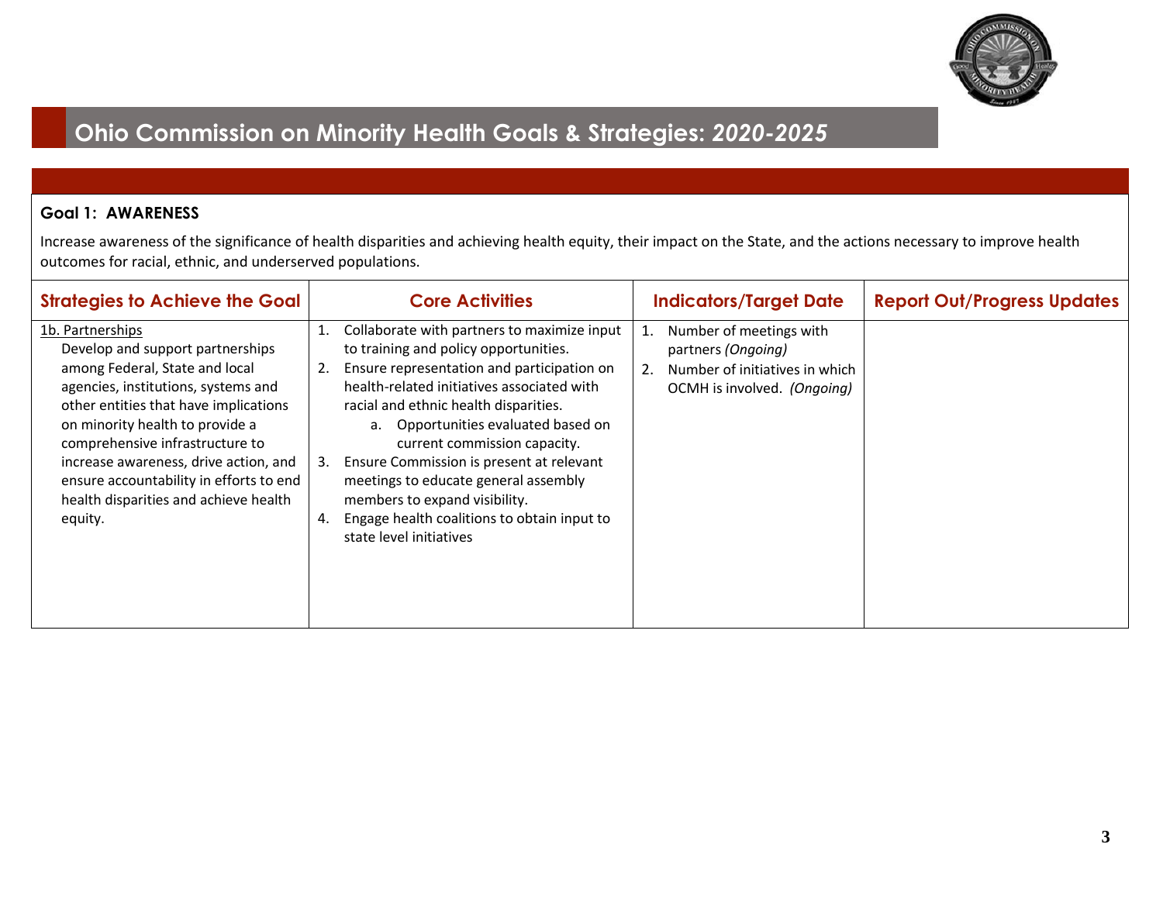

#### **Goal 1: AWARENESS**

| <b>Strategies to Achieve the Goal</b>                                                                                                                                                                                                    |    | <b>Core Activities</b>                                                                                                                                                                                                            |    | <b>Indicators/Target Date</b>                                                                                  | <b>Report Out/Progress Updates</b> |
|------------------------------------------------------------------------------------------------------------------------------------------------------------------------------------------------------------------------------------------|----|-----------------------------------------------------------------------------------------------------------------------------------------------------------------------------------------------------------------------------------|----|----------------------------------------------------------------------------------------------------------------|------------------------------------|
| 1b. Partnerships<br>Develop and support partnerships<br>among Federal, State and local<br>agencies, institutions, systems and                                                                                                            |    | Collaborate with partners to maximize input<br>to training and policy opportunities.<br>Ensure representation and participation on<br>health-related initiatives associated with                                                  | 2. | Number of meetings with<br>partners (Ongoing)<br>Number of initiatives in which<br>OCMH is involved. (Ongoing) |                                    |
| other entities that have implications<br>on minority health to provide a<br>comprehensive infrastructure to<br>increase awareness, drive action, and<br>ensure accountability in efforts to end<br>health disparities and achieve health | 3. | racial and ethnic health disparities.<br>a. Opportunities evaluated based on<br>current commission capacity.<br>Ensure Commission is present at relevant<br>meetings to educate general assembly<br>members to expand visibility. |    |                                                                                                                |                                    |
| equity.                                                                                                                                                                                                                                  |    | Engage health coalitions to obtain input to<br>state level initiatives                                                                                                                                                            |    |                                                                                                                |                                    |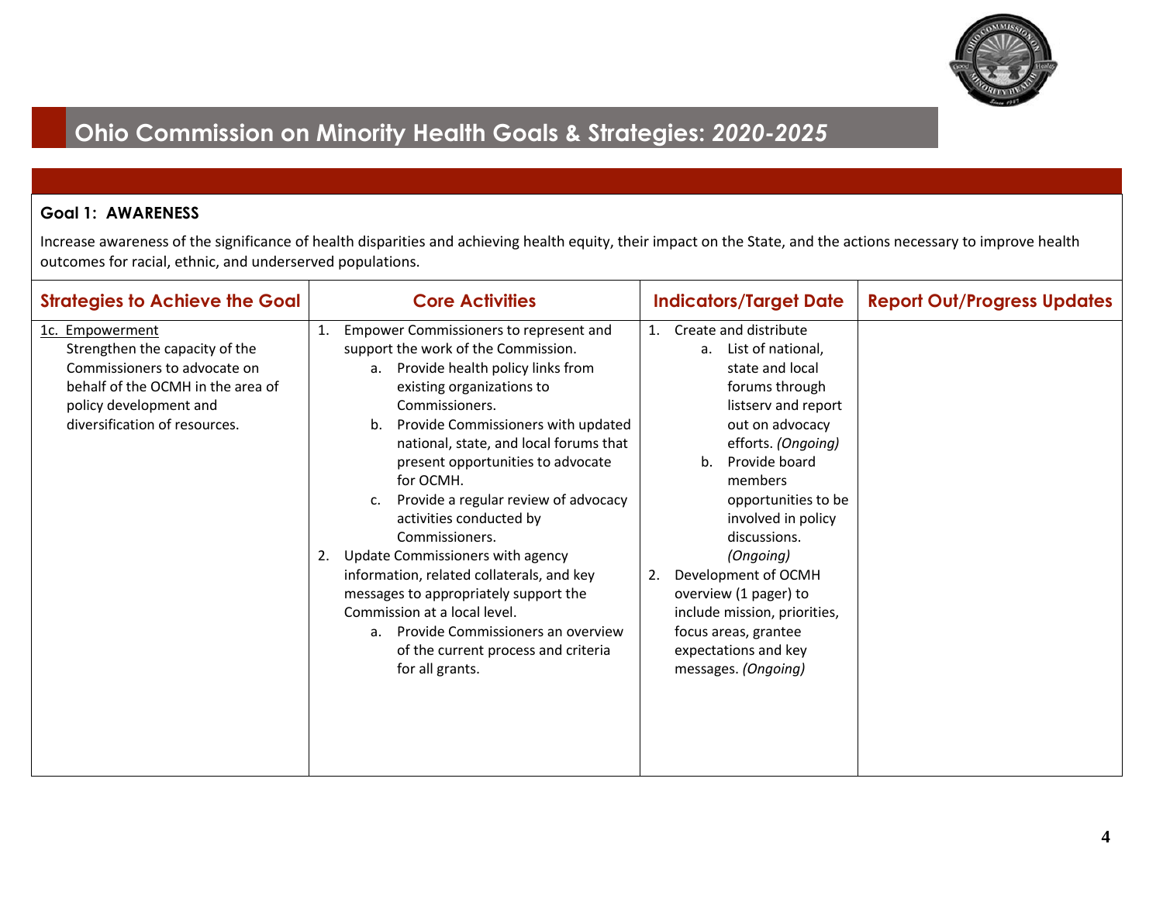

#### **Goal 1: AWARENESS**

| <b>Strategies to Achieve the Goal</b>                                                                                                                                             | <b>Core Activities</b>                                                                                                                                                                                                                                                                                                                                                                                                                                                                                                                                                                                                                                                         | <b>Indicators/Target Date</b>                                                                                                                                                                                                                                                                                                                                                                                                        | <b>Report Out/Progress Updates</b> |
|-----------------------------------------------------------------------------------------------------------------------------------------------------------------------------------|--------------------------------------------------------------------------------------------------------------------------------------------------------------------------------------------------------------------------------------------------------------------------------------------------------------------------------------------------------------------------------------------------------------------------------------------------------------------------------------------------------------------------------------------------------------------------------------------------------------------------------------------------------------------------------|--------------------------------------------------------------------------------------------------------------------------------------------------------------------------------------------------------------------------------------------------------------------------------------------------------------------------------------------------------------------------------------------------------------------------------------|------------------------------------|
| 1c. Empowerment<br>Strengthen the capacity of the<br>Commissioners to advocate on<br>behalf of the OCMH in the area of<br>policy development and<br>diversification of resources. | Empower Commissioners to represent and<br>1.<br>support the work of the Commission.<br>a. Provide health policy links from<br>existing organizations to<br>Commissioners.<br>Provide Commissioners with updated<br>b.<br>national, state, and local forums that<br>present opportunities to advocate<br>for OCMH.<br>Provide a regular review of advocacy<br>c.<br>activities conducted by<br>Commissioners.<br>2. Update Commissioners with agency<br>information, related collaterals, and key<br>messages to appropriately support the<br>Commission at a local level.<br>Provide Commissioners an overview<br>a.<br>of the current process and criteria<br>for all grants. | Create and distribute<br>1.<br>List of national,<br>a.<br>state and local<br>forums through<br>listserv and report<br>out on advocacy<br>efforts. (Ongoing)<br>Provide board<br>b.<br>members<br>opportunities to be<br>involved in policy<br>discussions.<br>(Ongoing)<br>Development of OCMH<br>2.<br>overview (1 pager) to<br>include mission, priorities,<br>focus areas, grantee<br>expectations and key<br>messages. (Ongoing) |                                    |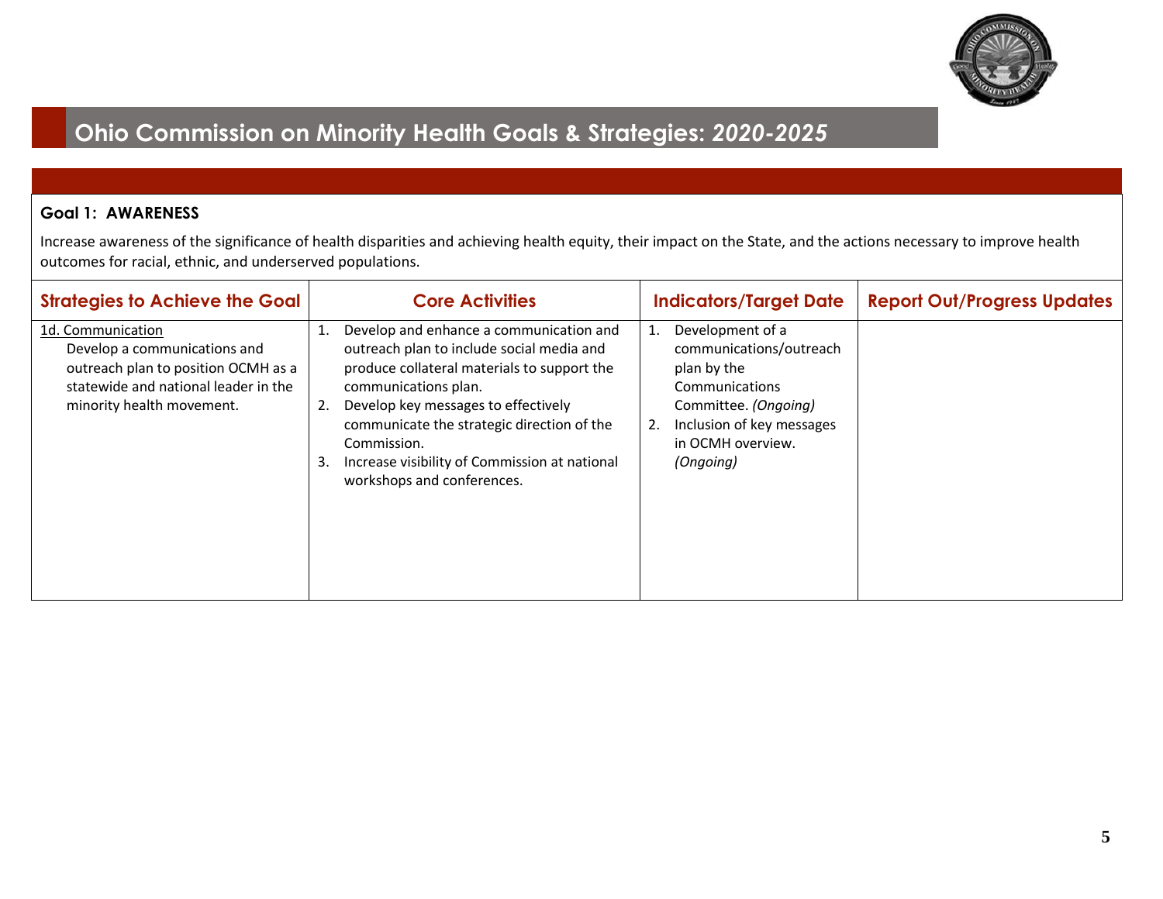

#### **Goal 1: AWARENESS**

| <b>Strategies to Achieve the Goal</b>                                                                                                                         | <b>Core Activities</b>                                                                                                                                                                                                                                                                                                                                     | <b>Indicators/Target Date</b>                                                                                                                                                   | <b>Report Out/Progress Updates</b> |
|---------------------------------------------------------------------------------------------------------------------------------------------------------------|------------------------------------------------------------------------------------------------------------------------------------------------------------------------------------------------------------------------------------------------------------------------------------------------------------------------------------------------------------|---------------------------------------------------------------------------------------------------------------------------------------------------------------------------------|------------------------------------|
| 1d. Communication<br>Develop a communications and<br>outreach plan to position OCMH as a<br>statewide and national leader in the<br>minority health movement. | Develop and enhance a communication and<br>outreach plan to include social media and<br>produce collateral materials to support the<br>communications plan.<br>Develop key messages to effectively<br>2.<br>communicate the strategic direction of the<br>Commission.<br>Increase visibility of Commission at national<br>3.<br>workshops and conferences. | Development of a<br>1.<br>communications/outreach<br>plan by the<br>Communications<br>Committee. (Ongoing)<br>Inclusion of key messages<br>2.<br>in OCMH overview.<br>(Ongoing) |                                    |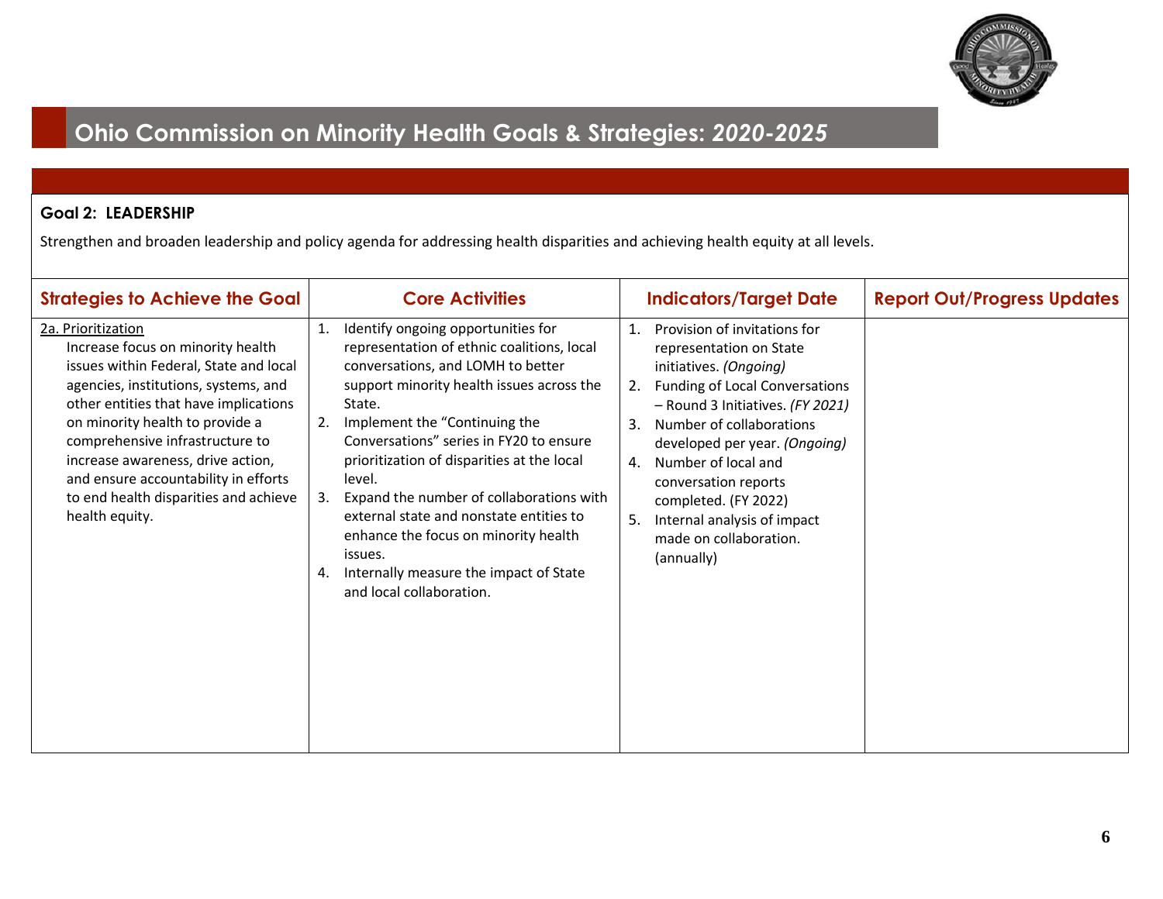

### **Goal 2: LEADERSHIP**

Strengthen and broaden leadership and policy agenda for addressing health disparities and achieving health equity at all levels.

| <b>Strategies to Achieve the Goal</b>                                                                                                                                                                                                                                                                                                                                                            | <b>Core Activities</b>                                                                                                                                                                                                                                                                                                                                                                                                                                                                                                                                   | <b>Indicators/Target Date</b>                                                                                                                                                                                                                                                                                                                                                                                | <b>Report Out/Progress Updates</b> |
|--------------------------------------------------------------------------------------------------------------------------------------------------------------------------------------------------------------------------------------------------------------------------------------------------------------------------------------------------------------------------------------------------|----------------------------------------------------------------------------------------------------------------------------------------------------------------------------------------------------------------------------------------------------------------------------------------------------------------------------------------------------------------------------------------------------------------------------------------------------------------------------------------------------------------------------------------------------------|--------------------------------------------------------------------------------------------------------------------------------------------------------------------------------------------------------------------------------------------------------------------------------------------------------------------------------------------------------------------------------------------------------------|------------------------------------|
| 2a. Prioritization<br>Increase focus on minority health<br>issues within Federal, State and local<br>agencies, institutions, systems, and<br>other entities that have implications<br>on minority health to provide a<br>comprehensive infrastructure to<br>increase awareness, drive action,<br>and ensure accountability in efforts<br>to end health disparities and achieve<br>health equity. | Identify ongoing opportunities for<br>1.<br>representation of ethnic coalitions, local<br>conversations, and LOMH to better<br>support minority health issues across the<br>State.<br>2.<br>Implement the "Continuing the<br>Conversations" series in FY20 to ensure<br>prioritization of disparities at the local<br>level.<br>Expand the number of collaborations with<br>3.<br>external state and nonstate entities to<br>enhance the focus on minority health<br>issues.<br>Internally measure the impact of State<br>4.<br>and local collaboration. | Provision of invitations for<br>$\mathbf{1}$ .<br>representation on State<br>initiatives. (Ongoing)<br>Funding of Local Conversations<br>2.<br>- Round 3 Initiatives. (FY 2021)<br>Number of collaborations<br>3.<br>developed per year. (Ongoing)<br>Number of local and<br>4.<br>conversation reports<br>completed. (FY 2022)<br>Internal analysis of impact<br>5.<br>made on collaboration.<br>(annually) |                                    |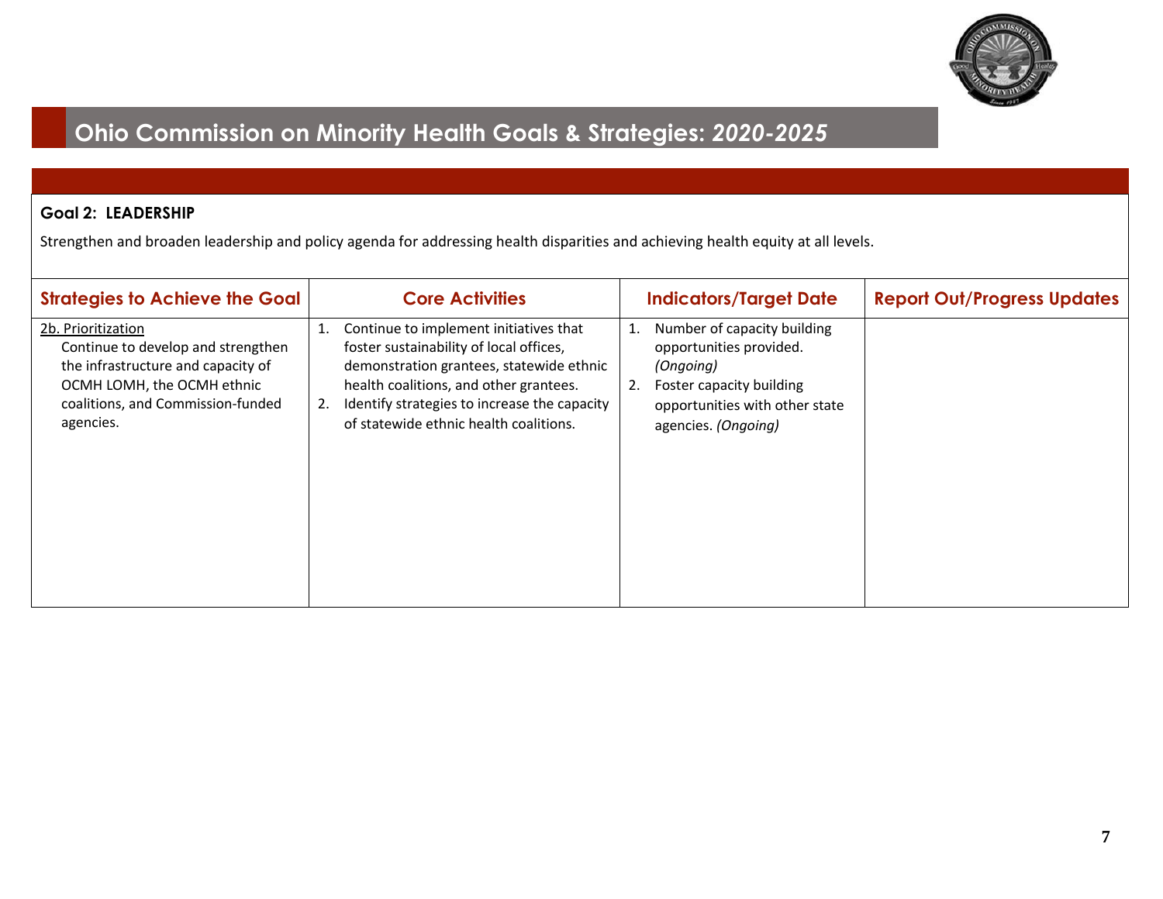

### **Goal 2: LEADERSHIP**

Strengthen and broaden leadership and policy agenda for addressing health disparities and achieving health equity at all levels.

| <b>Strategies to Achieve the Goal</b>                                                                                                                                          | <b>Core Activities</b>                                                                                                                                                                                                                                                        | <b>Indicators/Target Date</b>                                                                                                                                        | <b>Report Out/Progress Updates</b> |
|--------------------------------------------------------------------------------------------------------------------------------------------------------------------------------|-------------------------------------------------------------------------------------------------------------------------------------------------------------------------------------------------------------------------------------------------------------------------------|----------------------------------------------------------------------------------------------------------------------------------------------------------------------|------------------------------------|
| 2b. Prioritization<br>Continue to develop and strengthen<br>the infrastructure and capacity of<br>OCMH LOMH, the OCMH ethnic<br>coalitions, and Commission-funded<br>agencies. | Continue to implement initiatives that<br>1.<br>foster sustainability of local offices,<br>demonstration grantees, statewide ethnic<br>health coalitions, and other grantees.<br>Identify strategies to increase the capacity<br>2.<br>of statewide ethnic health coalitions. | Number of capacity building<br>1.<br>opportunities provided.<br>(Ongoing)<br>Foster capacity building<br>2.<br>opportunities with other state<br>agencies. (Ongoing) |                                    |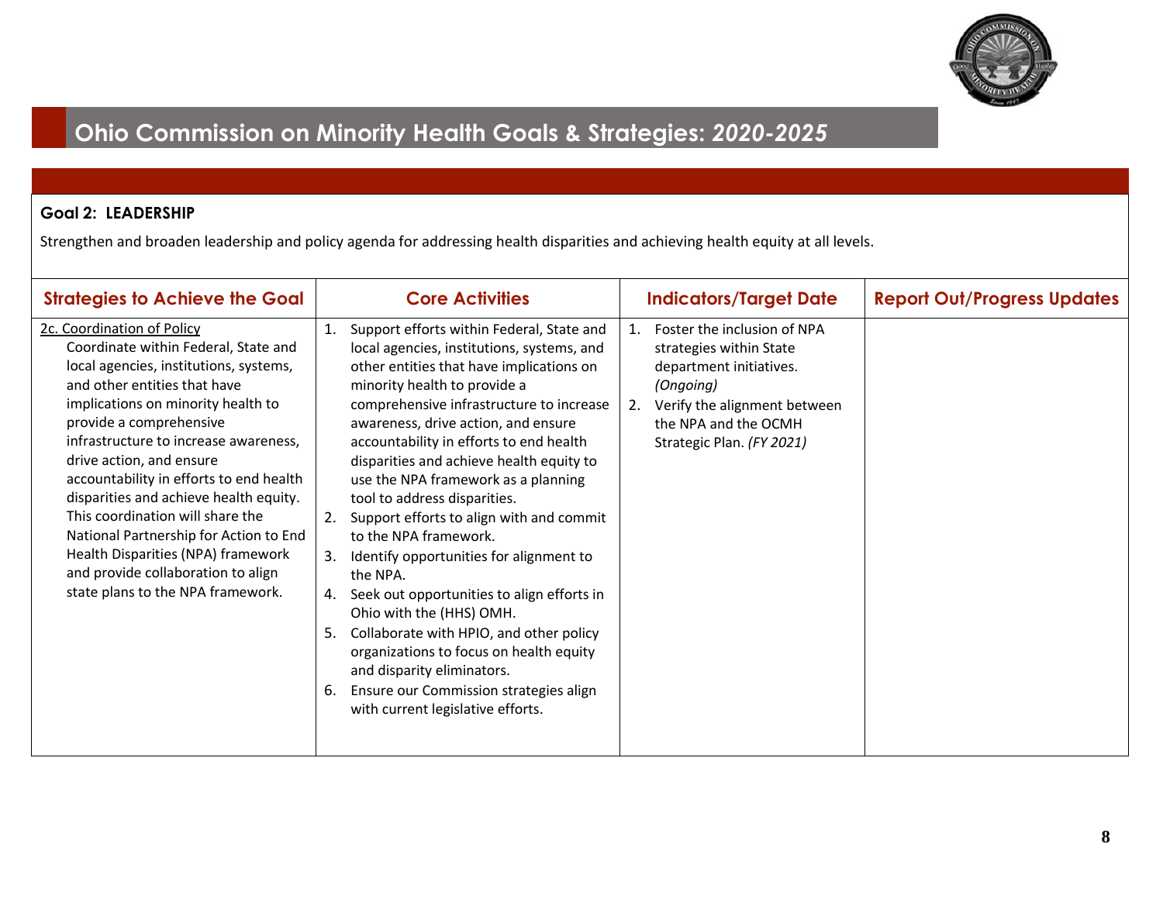

### **Goal 2: LEADERSHIP**

Strengthen and broaden leadership and policy agenda for addressing health disparities and achieving health equity at all levels.

| <b>Strategies to Achieve the Goal</b>                                                                                                                                                                                                                                                                                                                                                                                                                                                                                                                                  | <b>Core Activities</b>                                                                                                                                                                                                                                                                                                                                                                                                                                                                                                                                                                                                                                                                                                                                                                                                                                            | <b>Indicators/Target Date</b>                                                                                                                                                                   | <b>Report Out/Progress Updates</b> |
|------------------------------------------------------------------------------------------------------------------------------------------------------------------------------------------------------------------------------------------------------------------------------------------------------------------------------------------------------------------------------------------------------------------------------------------------------------------------------------------------------------------------------------------------------------------------|-------------------------------------------------------------------------------------------------------------------------------------------------------------------------------------------------------------------------------------------------------------------------------------------------------------------------------------------------------------------------------------------------------------------------------------------------------------------------------------------------------------------------------------------------------------------------------------------------------------------------------------------------------------------------------------------------------------------------------------------------------------------------------------------------------------------------------------------------------------------|-------------------------------------------------------------------------------------------------------------------------------------------------------------------------------------------------|------------------------------------|
| 2c. Coordination of Policy<br>Coordinate within Federal, State and<br>local agencies, institutions, systems,<br>and other entities that have<br>implications on minority health to<br>provide a comprehensive<br>infrastructure to increase awareness,<br>drive action, and ensure<br>accountability in efforts to end health<br>disparities and achieve health equity.<br>This coordination will share the<br>National Partnership for Action to End<br>Health Disparities (NPA) framework<br>and provide collaboration to align<br>state plans to the NPA framework. | Support efforts within Federal, State and<br>1.<br>local agencies, institutions, systems, and<br>other entities that have implications on<br>minority health to provide a<br>comprehensive infrastructure to increase<br>awareness, drive action, and ensure<br>accountability in efforts to end health<br>disparities and achieve health equity to<br>use the NPA framework as a planning<br>tool to address disparities.<br>Support efforts to align with and commit<br>2.<br>to the NPA framework.<br>Identify opportunities for alignment to<br>3.<br>the NPA.<br>Seek out opportunities to align efforts in<br>4.<br>Ohio with the (HHS) OMH.<br>Collaborate with HPIO, and other policy<br>5.<br>organizations to focus on health equity<br>and disparity eliminators.<br>Ensure our Commission strategies align<br>6.<br>with current legislative efforts. | Foster the inclusion of NPA<br>1.<br>strategies within State<br>department initiatives.<br>(Ongoing)<br>Verify the alignment between<br>2.<br>the NPA and the OCMH<br>Strategic Plan. (FY 2021) |                                    |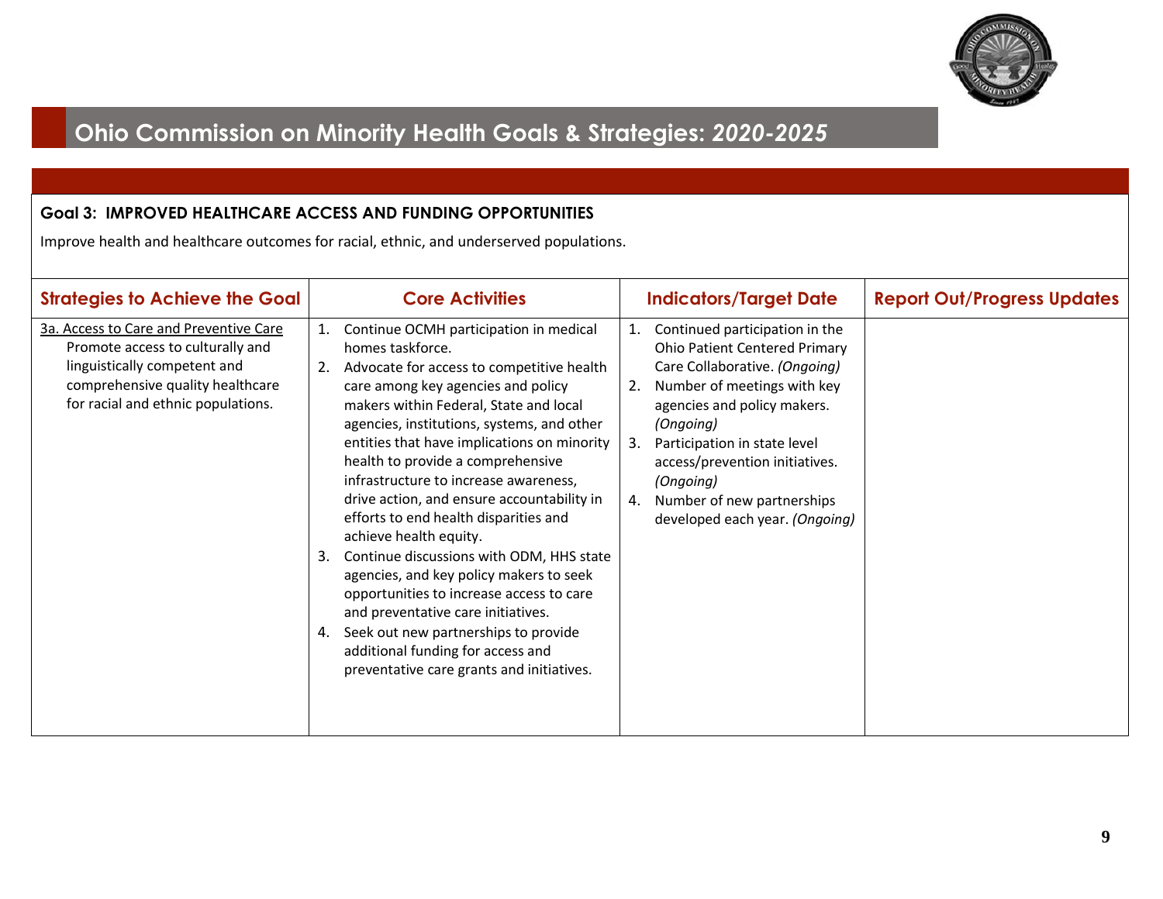

### **Goal 3: IMPROVED HEALTHCARE ACCESS AND FUNDING OPPORTUNITIES**

Improve health and healthcare outcomes for racial, ethnic, and underserved populations.

| <b>Strategies to Achieve the Goal</b>                                                                                                                                                | <b>Core Activities</b>                                                                                                                                                                                                                                                                                                                                                                                                                                                                                                                                                                                                                                                                                                                                                                                      | <b>Indicators/Target Date</b>                                                                                                                                                                                                                                                                                                                             | <b>Report Out/Progress Updates</b> |
|--------------------------------------------------------------------------------------------------------------------------------------------------------------------------------------|-------------------------------------------------------------------------------------------------------------------------------------------------------------------------------------------------------------------------------------------------------------------------------------------------------------------------------------------------------------------------------------------------------------------------------------------------------------------------------------------------------------------------------------------------------------------------------------------------------------------------------------------------------------------------------------------------------------------------------------------------------------------------------------------------------------|-----------------------------------------------------------------------------------------------------------------------------------------------------------------------------------------------------------------------------------------------------------------------------------------------------------------------------------------------------------|------------------------------------|
| 3a. Access to Care and Preventive Care<br>Promote access to culturally and<br>linguistically competent and<br>comprehensive quality healthcare<br>for racial and ethnic populations. | Continue OCMH participation in medical<br>1.<br>homes taskforce.<br>Advocate for access to competitive health<br>2.<br>care among key agencies and policy<br>makers within Federal, State and local<br>agencies, institutions, systems, and other<br>entities that have implications on minority<br>health to provide a comprehensive<br>infrastructure to increase awareness,<br>drive action, and ensure accountability in<br>efforts to end health disparities and<br>achieve health equity.<br>Continue discussions with ODM, HHS state<br>3.<br>agencies, and key policy makers to seek<br>opportunities to increase access to care<br>and preventative care initiatives.<br>4. Seek out new partnerships to provide<br>additional funding for access and<br>preventative care grants and initiatives. | Continued participation in the<br>1.<br><b>Ohio Patient Centered Primary</b><br>Care Collaborative. (Ongoing)<br>Number of meetings with key<br>2.<br>agencies and policy makers.<br>(Ongoing)<br>Participation in state level<br>3.<br>access/prevention initiatives.<br>(Ongoing)<br>Number of new partnerships<br>4.<br>developed each year. (Ongoing) |                                    |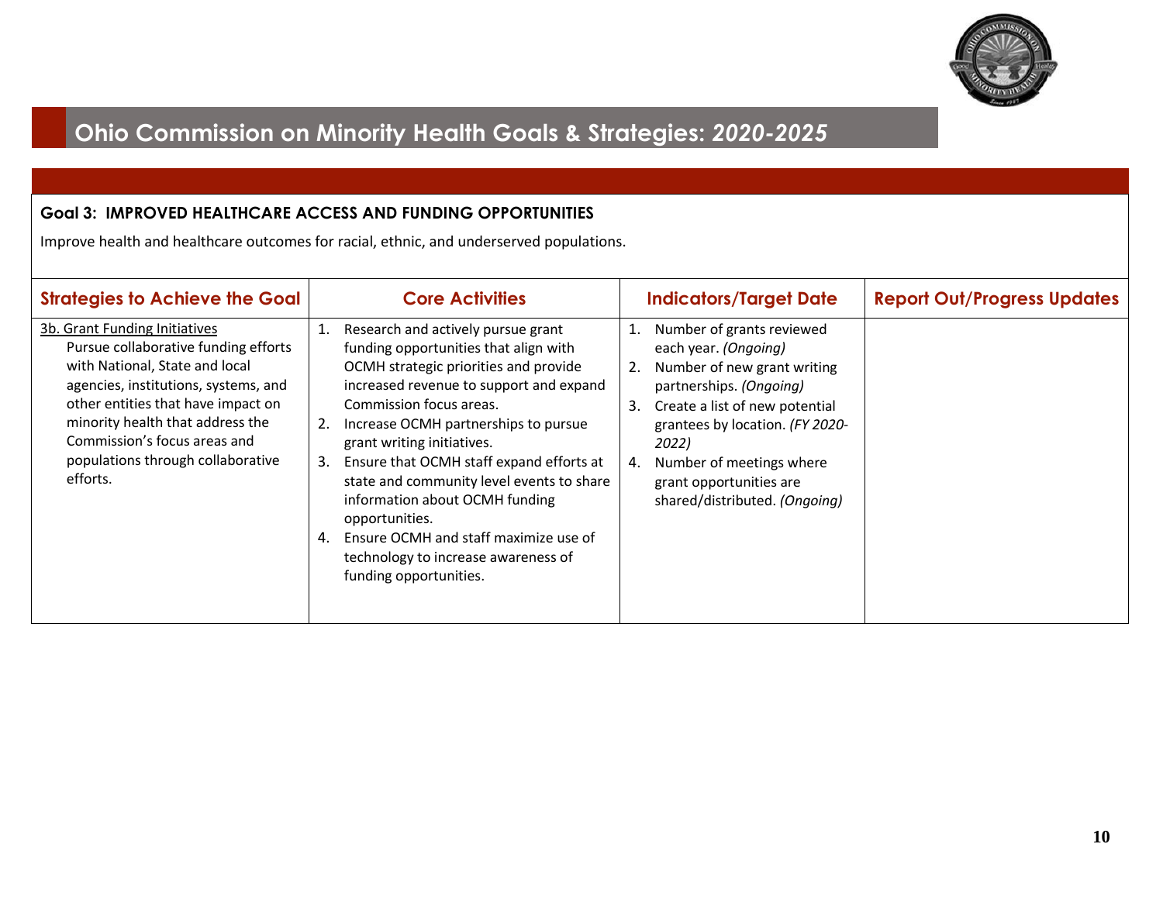

### **Goal 3: IMPROVED HEALTHCARE ACCESS AND FUNDING OPPORTUNITIES**

Improve health and healthcare outcomes for racial, ethnic, and underserved populations.

| <b>Strategies to Achieve the Goal</b>                                                                                                                                                                                                                                                                      | <b>Core Activities</b>                                                                                                                                                                                                                                                                                                                                                                                                                                                                                                                          | <b>Indicators/Target Date</b>                                                                                                                                                                                                                                                                             | <b>Report Out/Progress Updates</b> |
|------------------------------------------------------------------------------------------------------------------------------------------------------------------------------------------------------------------------------------------------------------------------------------------------------------|-------------------------------------------------------------------------------------------------------------------------------------------------------------------------------------------------------------------------------------------------------------------------------------------------------------------------------------------------------------------------------------------------------------------------------------------------------------------------------------------------------------------------------------------------|-----------------------------------------------------------------------------------------------------------------------------------------------------------------------------------------------------------------------------------------------------------------------------------------------------------|------------------------------------|
| 3b. Grant Funding Initiatives<br>Pursue collaborative funding efforts<br>with National, State and local<br>agencies, institutions, systems, and<br>other entities that have impact on<br>minority health that address the<br>Commission's focus areas and<br>populations through collaborative<br>efforts. | Research and actively pursue grant<br>1.<br>funding opportunities that align with<br>OCMH strategic priorities and provide<br>increased revenue to support and expand<br>Commission focus areas.<br>Increase OCMH partnerships to pursue<br>2.<br>grant writing initiatives.<br>Ensure that OCMH staff expand efforts at<br>3.<br>state and community level events to share<br>information about OCMH funding<br>opportunities.<br>Ensure OCMH and staff maximize use of<br>4.<br>technology to increase awareness of<br>funding opportunities. | Number of grants reviewed<br>1.<br>each year. (Ongoing)<br>Number of new grant writing<br>2.<br>partnerships. (Ongoing)<br>Create a list of new potential<br>3.<br>grantees by location. (FY 2020-<br>2022)<br>Number of meetings where<br>4.<br>grant opportunities are<br>shared/distributed. (Ongoing) |                                    |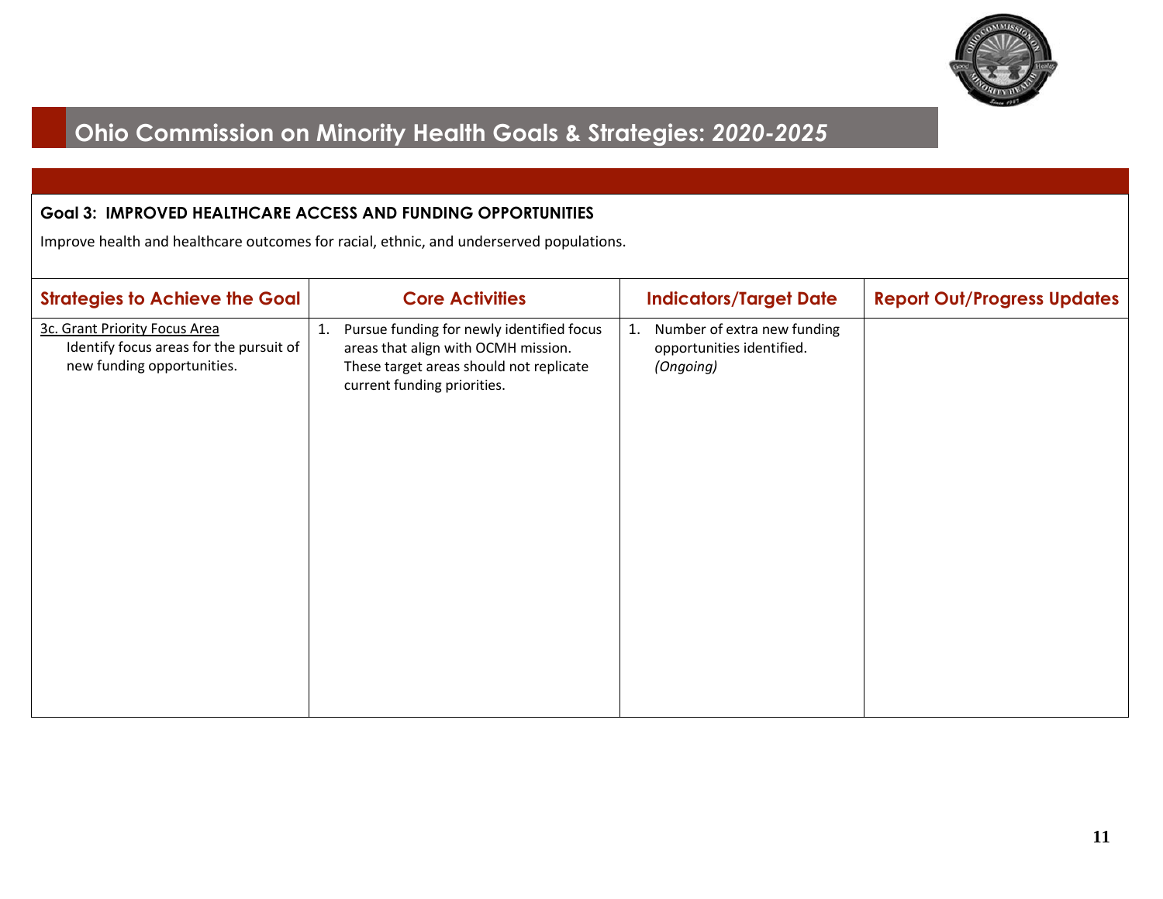

#### **Goal 3: IMPROVED HEALTHCARE ACCESS AND FUNDING OPPORTUNITIES**

Improve health and healthcare outcomes for racial, ethnic, and underserved populations.

| 3c. Grant Priority Focus Area<br>1. Pursue funding for newly identified focus<br>Number of extra new funding<br>1.<br>Identify focus areas for the pursuit of<br>areas that align with OCMH mission.<br>opportunities identified.<br>new funding opportunities.<br>These target areas should not replicate<br>(Ongoing)<br>current funding priorities. | <b>Strategies to Achieve the Goal</b> | <b>Core Activities</b> | <b>Indicators/Target Date</b> | <b>Report Out/Progress Updates</b> |
|--------------------------------------------------------------------------------------------------------------------------------------------------------------------------------------------------------------------------------------------------------------------------------------------------------------------------------------------------------|---------------------------------------|------------------------|-------------------------------|------------------------------------|
|                                                                                                                                                                                                                                                                                                                                                        |                                       |                        |                               |                                    |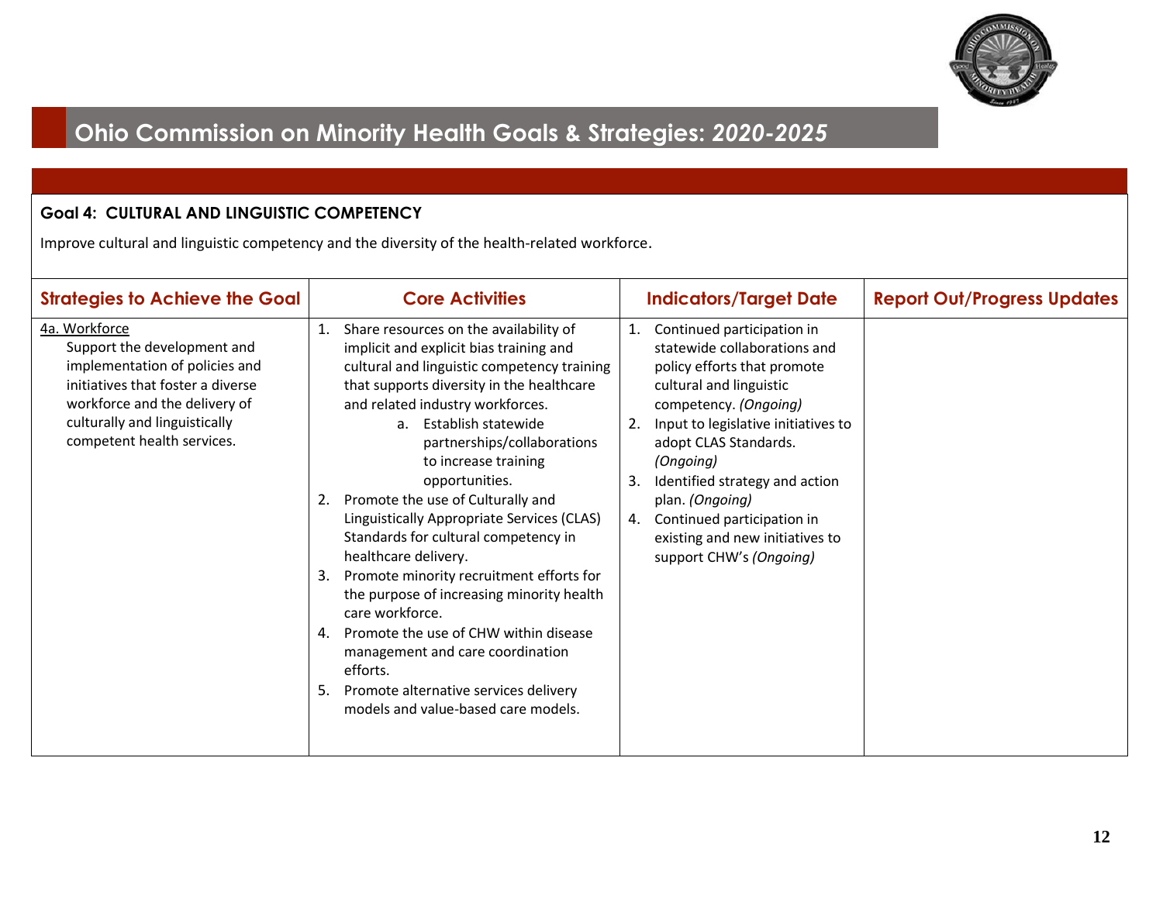

### **Goal 4: CULTURAL AND LINGUISTIC COMPETENCY**

Improve cultural and linguistic competency and the diversity of the health-related workforce.

| <b>Strategies to Achieve the Goal</b>                                                                                                                                                                               | <b>Core Activities</b>                                                                                                                                                                                                                                                                                                                                                                                                                                                                                                                                                                                                                                                                                                                                                                           | <b>Indicators/Target Date</b>                                                                                                                                                                                                                                                                                                                                                                    | <b>Report Out/Progress Updates</b> |
|---------------------------------------------------------------------------------------------------------------------------------------------------------------------------------------------------------------------|--------------------------------------------------------------------------------------------------------------------------------------------------------------------------------------------------------------------------------------------------------------------------------------------------------------------------------------------------------------------------------------------------------------------------------------------------------------------------------------------------------------------------------------------------------------------------------------------------------------------------------------------------------------------------------------------------------------------------------------------------------------------------------------------------|--------------------------------------------------------------------------------------------------------------------------------------------------------------------------------------------------------------------------------------------------------------------------------------------------------------------------------------------------------------------------------------------------|------------------------------------|
| 4a. Workforce<br>Support the development and<br>implementation of policies and<br>initiatives that foster a diverse<br>workforce and the delivery of<br>culturally and linguistically<br>competent health services. | Share resources on the availability of<br>1.<br>implicit and explicit bias training and<br>cultural and linguistic competency training<br>that supports diversity in the healthcare<br>and related industry workforces.<br>Establish statewide<br>a <sub>z</sub><br>partnerships/collaborations<br>to increase training<br>opportunities.<br>2. Promote the use of Culturally and<br>Linguistically Appropriate Services (CLAS)<br>Standards for cultural competency in<br>healthcare delivery.<br>Promote minority recruitment efforts for<br>3.<br>the purpose of increasing minority health<br>care workforce.<br>4. Promote the use of CHW within disease<br>management and care coordination<br>efforts.<br>5. Promote alternative services delivery<br>models and value-based care models. | Continued participation in<br>1.<br>statewide collaborations and<br>policy efforts that promote<br>cultural and linguistic<br>competency. (Ongoing)<br>Input to legislative initiatives to<br>2.<br>adopt CLAS Standards.<br>(Ongoing)<br>Identified strategy and action<br>3.<br>plan. (Ongoing)<br>4. Continued participation in<br>existing and new initiatives to<br>support CHW's (Ongoing) |                                    |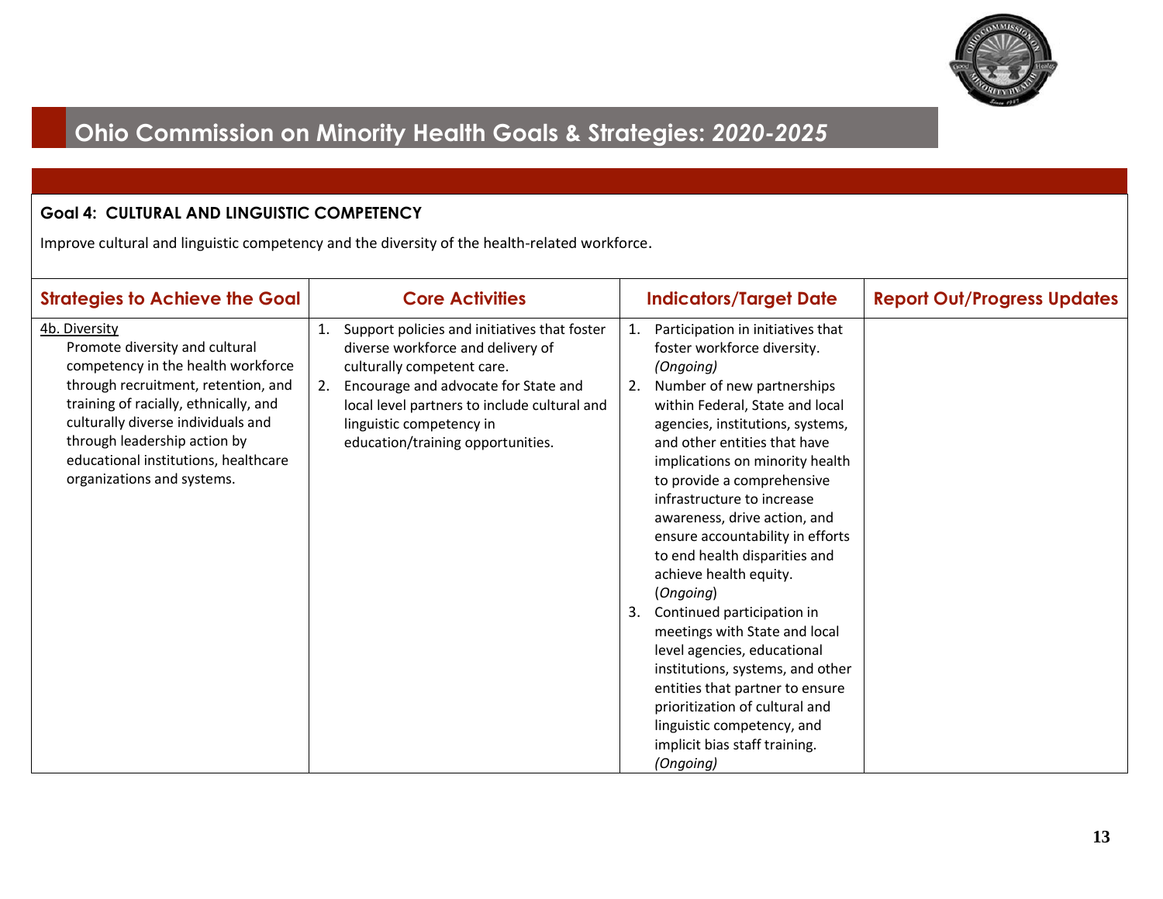

### **Goal 4: CULTURAL AND LINGUISTIC COMPETENCY**

Improve cultural and linguistic competency and the diversity of the health-related workforce.

| <b>Strategies to Achieve the Goal</b>                                                                                                                                                                                                                                                                             | <b>Core Activities</b>                                                                                                                                                                                                                                                         | <b>Indicators/Target Date</b>                                                                                                                                                                                                                                                                                                                                                                                                                                                                                                                                                                                                                                                                                                                                      | <b>Report Out/Progress Updates</b> |
|-------------------------------------------------------------------------------------------------------------------------------------------------------------------------------------------------------------------------------------------------------------------------------------------------------------------|--------------------------------------------------------------------------------------------------------------------------------------------------------------------------------------------------------------------------------------------------------------------------------|--------------------------------------------------------------------------------------------------------------------------------------------------------------------------------------------------------------------------------------------------------------------------------------------------------------------------------------------------------------------------------------------------------------------------------------------------------------------------------------------------------------------------------------------------------------------------------------------------------------------------------------------------------------------------------------------------------------------------------------------------------------------|------------------------------------|
| 4b. Diversity<br>Promote diversity and cultural<br>competency in the health workforce<br>through recruitment, retention, and<br>training of racially, ethnically, and<br>culturally diverse individuals and<br>through leadership action by<br>educational institutions, healthcare<br>organizations and systems. | Support policies and initiatives that foster<br>diverse workforce and delivery of<br>culturally competent care.<br>Encourage and advocate for State and<br>2.<br>local level partners to include cultural and<br>linguistic competency in<br>education/training opportunities. | Participation in initiatives that<br>1.<br>foster workforce diversity.<br>(Ongoing)<br>Number of new partnerships<br>2.<br>within Federal, State and local<br>agencies, institutions, systems,<br>and other entities that have<br>implications on minority health<br>to provide a comprehensive<br>infrastructure to increase<br>awareness, drive action, and<br>ensure accountability in efforts<br>to end health disparities and<br>achieve health equity.<br>(Ongoing)<br>Continued participation in<br>3.<br>meetings with State and local<br>level agencies, educational<br>institutions, systems, and other<br>entities that partner to ensure<br>prioritization of cultural and<br>linguistic competency, and<br>implicit bias staff training.<br>(Ongoing) |                                    |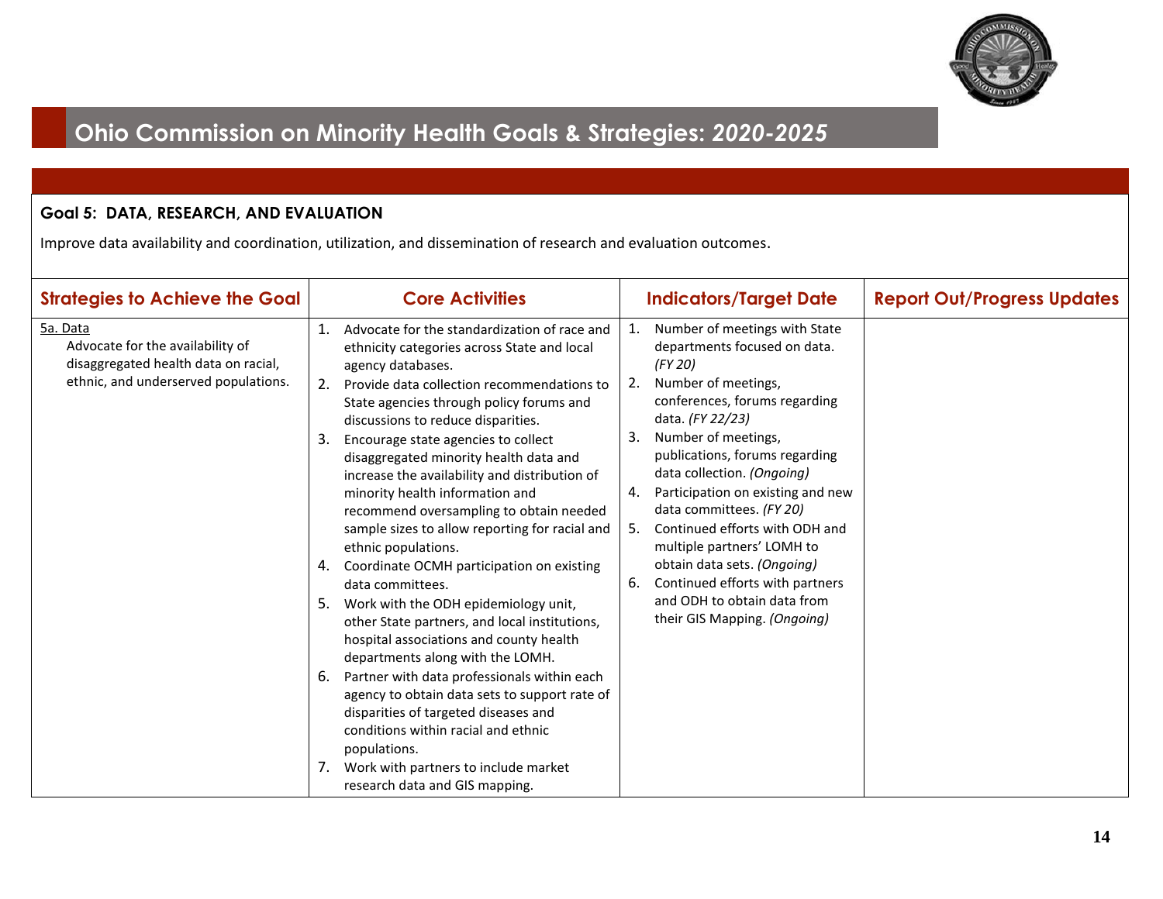

#### **Goal 5: DATA, RESEARCH, AND EVALUATION**

| <b>Strategies to Achieve the Goal</b>                                                                                        | <b>Core Activities</b>                                                                                                                                                                                                                                                                                                                                                                                                                                                                                                                                                                                                                                                                                                                                                                                                                                                                                                                                                                                                                                                                       | <b>Indicators/Target Date</b>                                                                                                                                                                                                                                                                                                                                                                                                                                                                                                                     | <b>Report Out/Progress Updates</b> |
|------------------------------------------------------------------------------------------------------------------------------|----------------------------------------------------------------------------------------------------------------------------------------------------------------------------------------------------------------------------------------------------------------------------------------------------------------------------------------------------------------------------------------------------------------------------------------------------------------------------------------------------------------------------------------------------------------------------------------------------------------------------------------------------------------------------------------------------------------------------------------------------------------------------------------------------------------------------------------------------------------------------------------------------------------------------------------------------------------------------------------------------------------------------------------------------------------------------------------------|---------------------------------------------------------------------------------------------------------------------------------------------------------------------------------------------------------------------------------------------------------------------------------------------------------------------------------------------------------------------------------------------------------------------------------------------------------------------------------------------------------------------------------------------------|------------------------------------|
| 5a. Data<br>Advocate for the availability of<br>disaggregated health data on racial,<br>ethnic, and underserved populations. | Advocate for the standardization of race and<br>1.<br>ethnicity categories across State and local<br>agency databases.<br>Provide data collection recommendations to<br>2.<br>State agencies through policy forums and<br>discussions to reduce disparities.<br>3.<br>Encourage state agencies to collect<br>disaggregated minority health data and<br>increase the availability and distribution of<br>minority health information and<br>recommend oversampling to obtain needed<br>sample sizes to allow reporting for racial and<br>ethnic populations.<br>4. Coordinate OCMH participation on existing<br>data committees.<br>Work with the ODH epidemiology unit,<br>5.<br>other State partners, and local institutions,<br>hospital associations and county health<br>departments along with the LOMH.<br>Partner with data professionals within each<br>6.<br>agency to obtain data sets to support rate of<br>disparities of targeted diseases and<br>conditions within racial and ethnic<br>populations.<br>Work with partners to include market<br>research data and GIS mapping. | Number of meetings with State<br>1.<br>departments focused on data.<br>(FY 20)<br>Number of meetings,<br>2.<br>conferences, forums regarding<br>data. (FY 22/23)<br>Number of meetings,<br>3.<br>publications, forums regarding<br>data collection. (Ongoing)<br>Participation on existing and new<br>4.<br>data committees. (FY 20)<br>Continued efforts with ODH and<br>5.<br>multiple partners' LOMH to<br>obtain data sets. (Ongoing)<br>Continued efforts with partners<br>6.<br>and ODH to obtain data from<br>their GIS Mapping. (Ongoing) |                                    |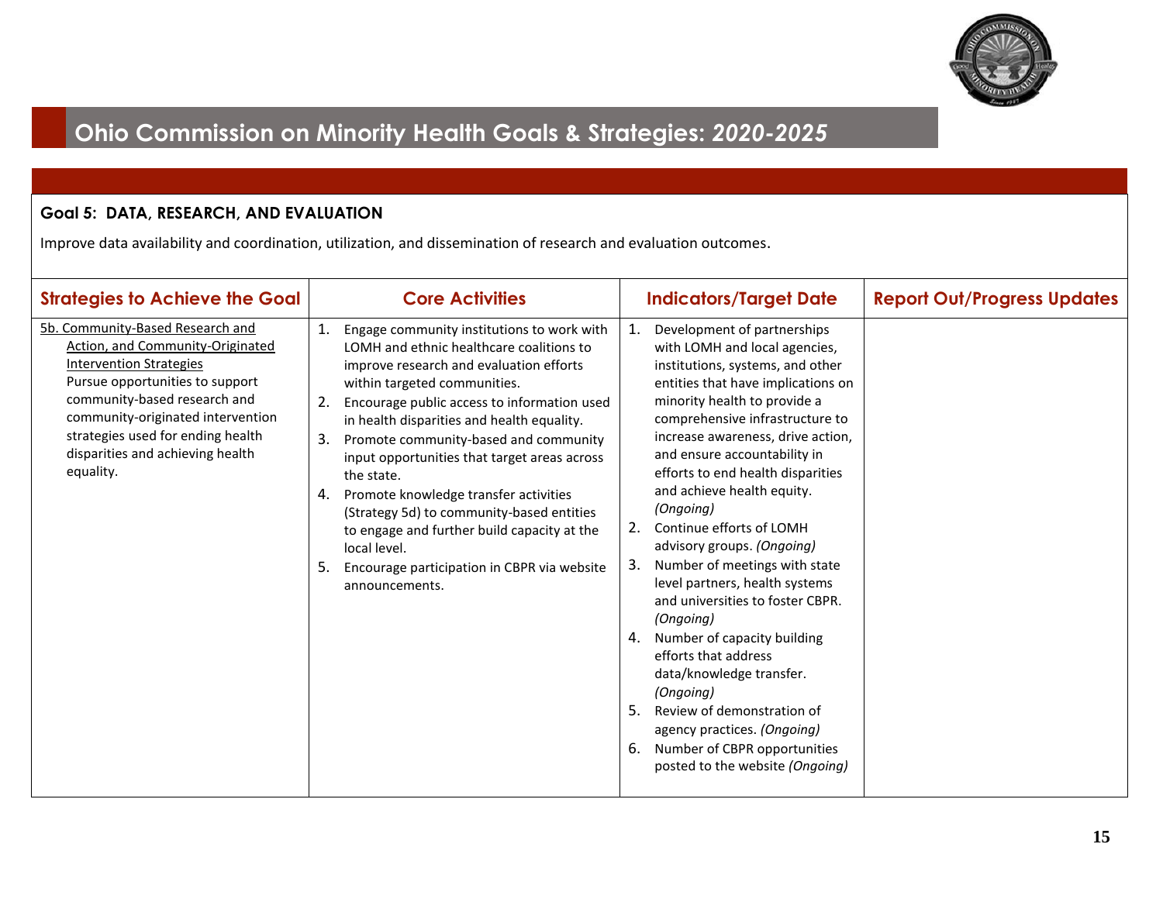

### **Goal 5: DATA, RESEARCH, AND EVALUATION**

| <b>Strategies to Achieve the Goal</b>                                                                                                                                                                                                                                                                | <b>Core Activities</b>                                                                                                                                                                                                                                                                                                                                                                                                                                                                                                                                                                                              | <b>Indicators/Target Date</b>                                                                                                                                                                                                                                                                                                                                                                                                                                                                                                                                                                                                                                                                                                                                                                                    | <b>Report Out/Progress Updates</b> |
|------------------------------------------------------------------------------------------------------------------------------------------------------------------------------------------------------------------------------------------------------------------------------------------------------|---------------------------------------------------------------------------------------------------------------------------------------------------------------------------------------------------------------------------------------------------------------------------------------------------------------------------------------------------------------------------------------------------------------------------------------------------------------------------------------------------------------------------------------------------------------------------------------------------------------------|------------------------------------------------------------------------------------------------------------------------------------------------------------------------------------------------------------------------------------------------------------------------------------------------------------------------------------------------------------------------------------------------------------------------------------------------------------------------------------------------------------------------------------------------------------------------------------------------------------------------------------------------------------------------------------------------------------------------------------------------------------------------------------------------------------------|------------------------------------|
| 5b. Community-Based Research and<br>Action, and Community-Originated<br><b>Intervention Strategies</b><br>Pursue opportunities to support<br>community-based research and<br>community-originated intervention<br>strategies used for ending health<br>disparities and achieving health<br>equality. | 1. Engage community institutions to work with<br>LOMH and ethnic healthcare coalitions to<br>improve research and evaluation efforts<br>within targeted communities.<br>2.<br>Encourage public access to information used<br>in health disparities and health equality.<br>3.<br>Promote community-based and community<br>input opportunities that target areas across<br>the state.<br>Promote knowledge transfer activities<br>4.<br>(Strategy 5d) to community-based entities<br>to engage and further build capacity at the<br>local level.<br>5. Encourage participation in CBPR via website<br>announcements. | 1.<br>Development of partnerships<br>with LOMH and local agencies,<br>institutions, systems, and other<br>entities that have implications on<br>minority health to provide a<br>comprehensive infrastructure to<br>increase awareness, drive action,<br>and ensure accountability in<br>efforts to end health disparities<br>and achieve health equity.<br>(Ongoing)<br>Continue efforts of LOMH<br>2.<br>advisory groups. (Ongoing)<br>Number of meetings with state<br>3.<br>level partners, health systems<br>and universities to foster CBPR.<br>(Ongoing)<br>Number of capacity building<br>4.<br>efforts that address<br>data/knowledge transfer.<br>(Ongoing)<br>Review of demonstration of<br>5.<br>agency practices. (Ongoing)<br>Number of CBPR opportunities<br>6.<br>posted to the website (Ongoing) |                                    |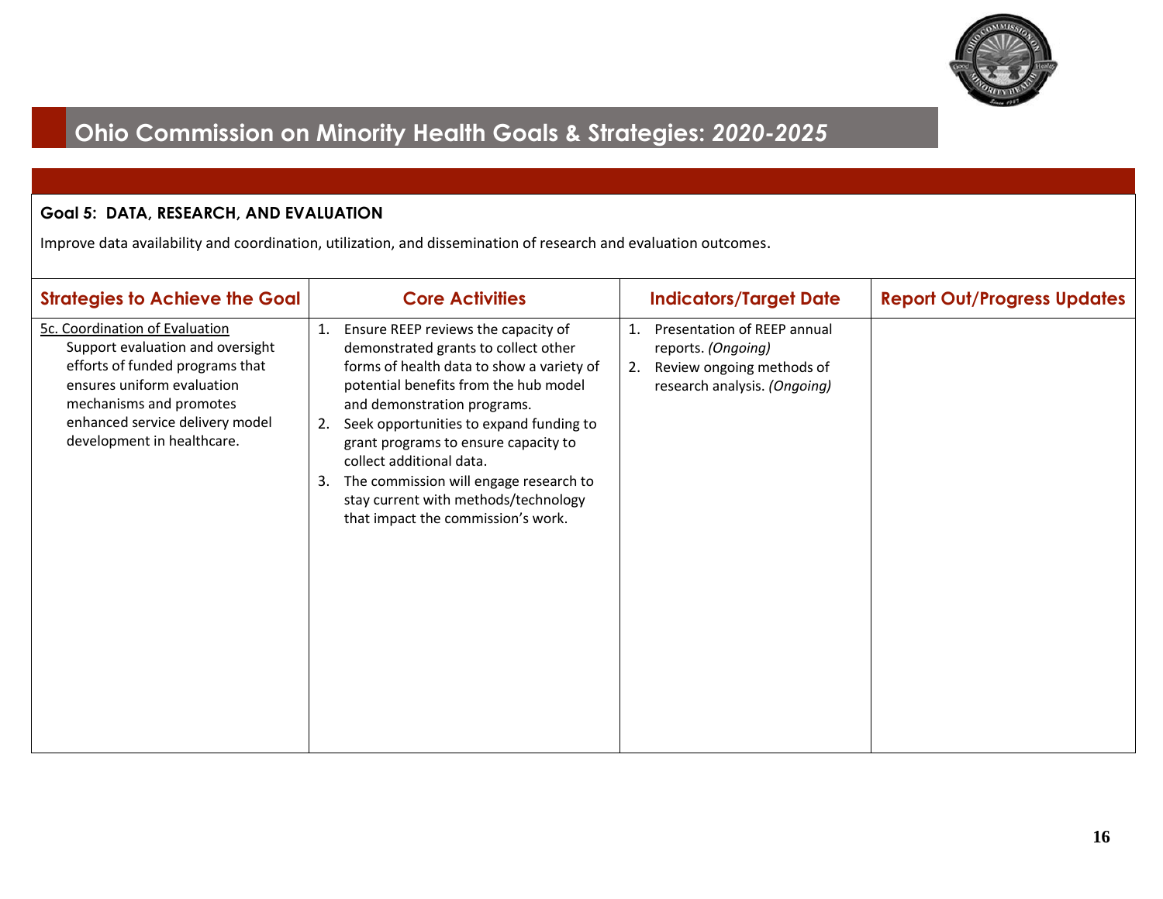

#### **Goal 5: DATA, RESEARCH, AND EVALUATION**

| <b>Strategies to Achieve the Goal</b>                                                                                                                                                                                           | <b>Core Activities</b>                                                                                                                                                                                                                                                                                                                                                                                                                        | <b>Indicators/Target Date</b>                                                                                              | <b>Report Out/Progress Updates</b> |
|---------------------------------------------------------------------------------------------------------------------------------------------------------------------------------------------------------------------------------|-----------------------------------------------------------------------------------------------------------------------------------------------------------------------------------------------------------------------------------------------------------------------------------------------------------------------------------------------------------------------------------------------------------------------------------------------|----------------------------------------------------------------------------------------------------------------------------|------------------------------------|
| 5c. Coordination of Evaluation<br>Support evaluation and oversight<br>efforts of funded programs that<br>ensures uniform evaluation<br>mechanisms and promotes<br>enhanced service delivery model<br>development in healthcare. | Ensure REEP reviews the capacity of<br>demonstrated grants to collect other<br>forms of health data to show a variety of<br>potential benefits from the hub model<br>and demonstration programs.<br>Seek opportunities to expand funding to<br>grant programs to ensure capacity to<br>collect additional data.<br>The commission will engage research to<br>3.<br>stay current with methods/technology<br>that impact the commission's work. | Presentation of REEP annual<br>1.<br>reports. (Ongoing)<br>Review ongoing methods of<br>2.<br>research analysis. (Ongoing) |                                    |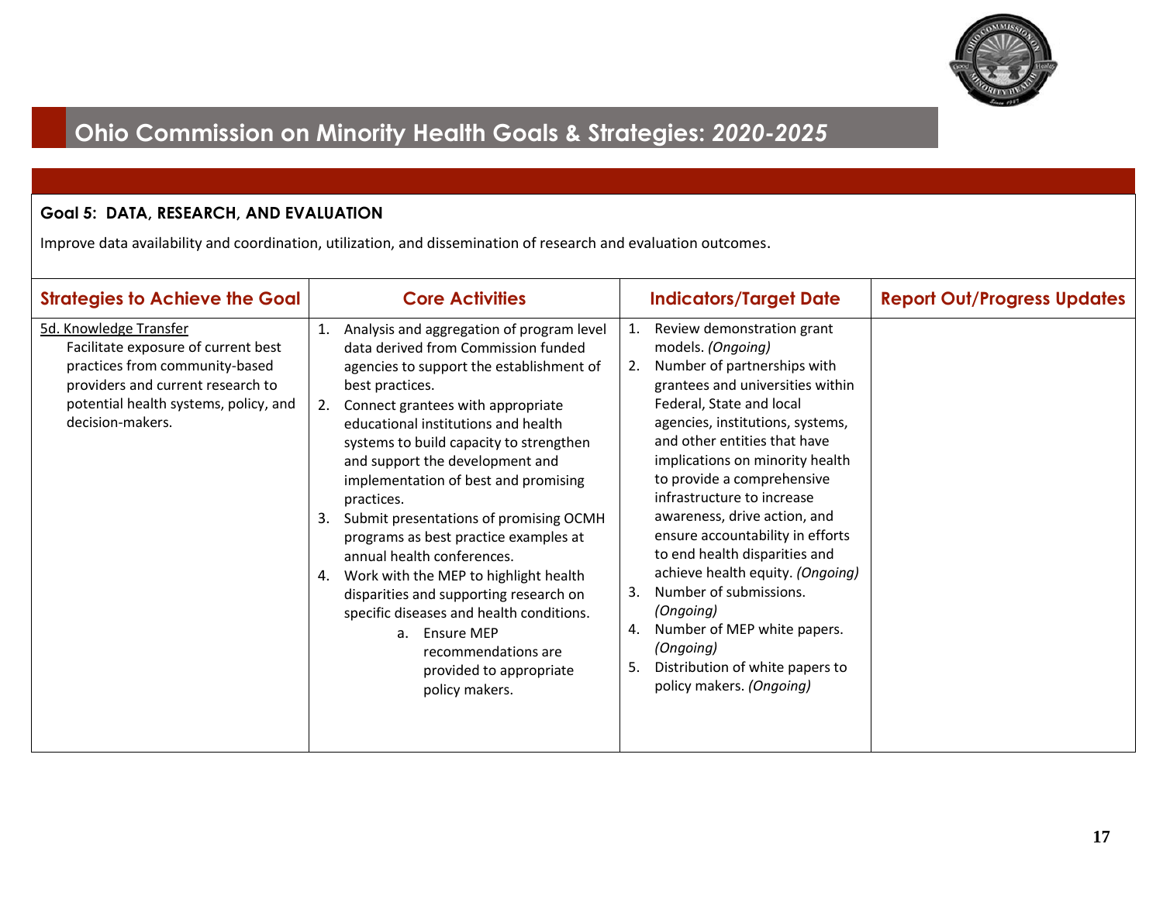

### **Goal 5: DATA, RESEARCH, AND EVALUATION**

| <b>Strategies to Achieve the Goal</b>                                                                                                                                                             | <b>Core Activities</b>                                                                                                                                                                                                                                                                                                                                                                                                                                                                                                                                                                                                                                                                                                 | <b>Indicators/Target Date</b>                                                                                                                                                                                                                                                                                                                                                                                                                                                                                                                                                                                                        | <b>Report Out/Progress Updates</b> |
|---------------------------------------------------------------------------------------------------------------------------------------------------------------------------------------------------|------------------------------------------------------------------------------------------------------------------------------------------------------------------------------------------------------------------------------------------------------------------------------------------------------------------------------------------------------------------------------------------------------------------------------------------------------------------------------------------------------------------------------------------------------------------------------------------------------------------------------------------------------------------------------------------------------------------------|--------------------------------------------------------------------------------------------------------------------------------------------------------------------------------------------------------------------------------------------------------------------------------------------------------------------------------------------------------------------------------------------------------------------------------------------------------------------------------------------------------------------------------------------------------------------------------------------------------------------------------------|------------------------------------|
| 5d. Knowledge Transfer<br>Facilitate exposure of current best<br>practices from community-based<br>providers and current research to<br>potential health systems, policy, and<br>decision-makers. | Analysis and aggregation of program level<br>1.<br>data derived from Commission funded<br>agencies to support the establishment of<br>best practices.<br>Connect grantees with appropriate<br>educational institutions and health<br>systems to build capacity to strengthen<br>and support the development and<br>implementation of best and promising<br>practices.<br>Submit presentations of promising OCMH<br>3.<br>programs as best practice examples at<br>annual health conferences.<br>Work with the MEP to highlight health<br>4.<br>disparities and supporting research on<br>specific diseases and health conditions.<br>a. Ensure MEP<br>recommendations are<br>provided to appropriate<br>policy makers. | Review demonstration grant<br>models. (Ongoing)<br>Number of partnerships with<br>2.<br>grantees and universities within<br>Federal, State and local<br>agencies, institutions, systems,<br>and other entities that have<br>implications on minority health<br>to provide a comprehensive<br>infrastructure to increase<br>awareness, drive action, and<br>ensure accountability in efforts<br>to end health disparities and<br>achieve health equity. (Ongoing)<br>Number of submissions.<br>3.<br>(Ongoing)<br>Number of MEP white papers.<br>4.<br>(Ongoing)<br>Distribution of white papers to<br>5.<br>policy makers. (Ongoing) |                                    |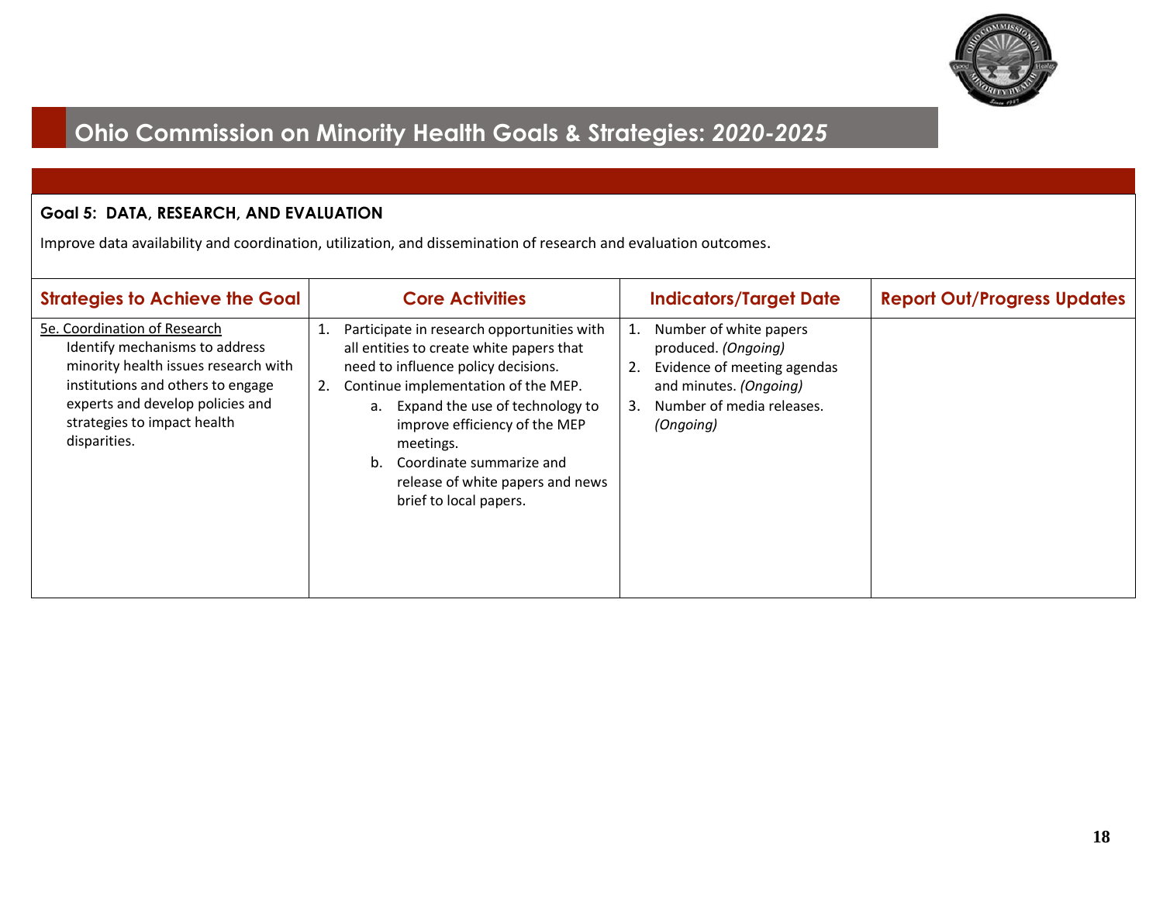

#### **Goal 5: DATA, RESEARCH, AND EVALUATION**

| <b>Strategies to Achieve the Goal</b>                                                                                                                                                                                          | <b>Core Activities</b>                                                                                                                                                                                                                                                                                                                                                       | <b>Indicators/Target Date</b>                                                                                                                                      | <b>Report Out/Progress Updates</b> |
|--------------------------------------------------------------------------------------------------------------------------------------------------------------------------------------------------------------------------------|------------------------------------------------------------------------------------------------------------------------------------------------------------------------------------------------------------------------------------------------------------------------------------------------------------------------------------------------------------------------------|--------------------------------------------------------------------------------------------------------------------------------------------------------------------|------------------------------------|
| 5e. Coordination of Research<br>Identify mechanisms to address<br>minority health issues research with<br>institutions and others to engage<br>experts and develop policies and<br>strategies to impact health<br>disparities. | Participate in research opportunities with<br>1.<br>all entities to create white papers that<br>need to influence policy decisions.<br>Continue implementation of the MEP.<br>2.<br>Expand the use of technology to<br>a.<br>improve efficiency of the MEP<br>meetings.<br>Coordinate summarize and<br>$h_{-}$<br>release of white papers and news<br>brief to local papers. | Number of white papers<br>1.<br>produced. (Ongoing)<br>Evidence of meeting agendas<br>2.<br>and minutes. (Ongoing)<br>Number of media releases.<br>3.<br>(Ongoing) |                                    |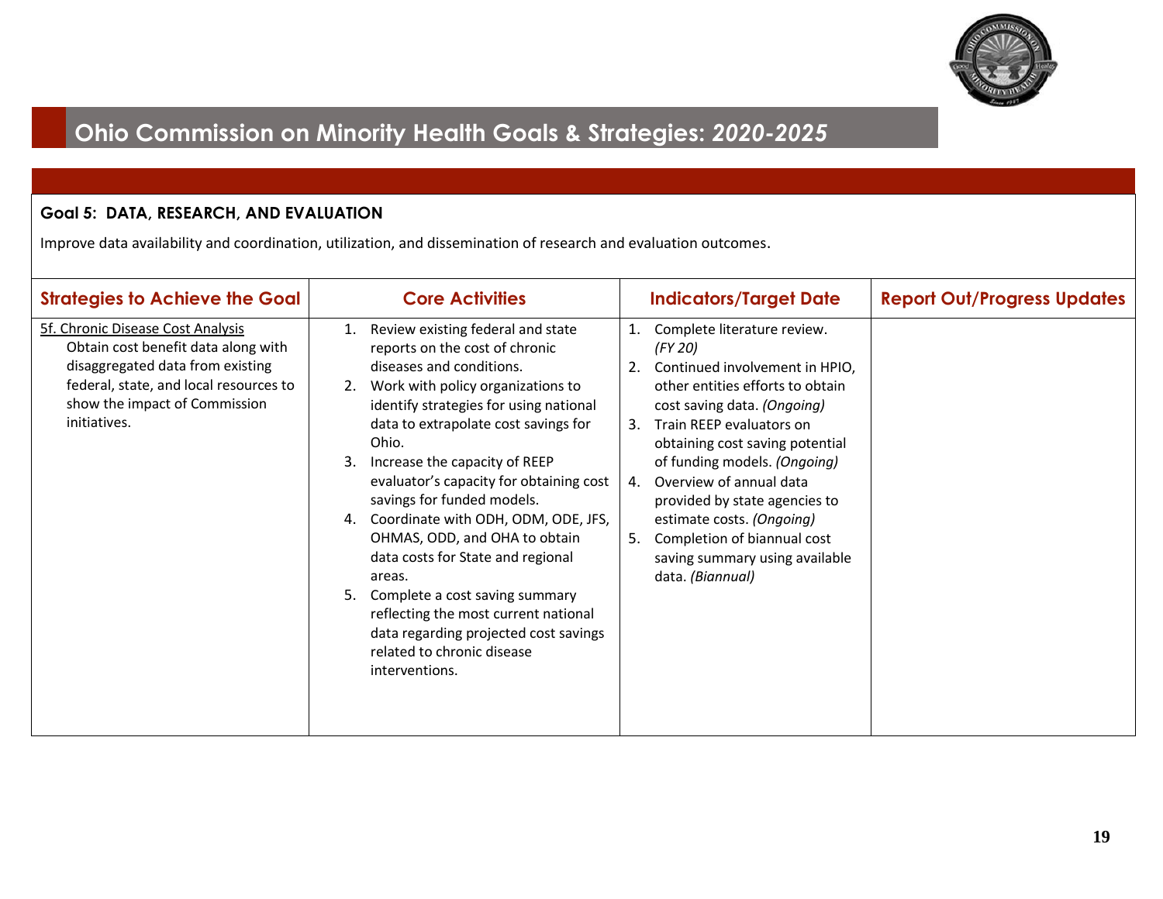

### **Goal 5: DATA, RESEARCH, AND EVALUATION**

| <b>Strategies to Achieve the Goal</b>                                                                                                                                                                   | <b>Core Activities</b>                                                                                                                                                                                                                                                                                                                                                                                                                                                                                                                                                                                                                                      | <b>Indicators/Target Date</b>                                                                                                                                                                                                                                                                                                                                                                                                           | <b>Report Out/Progress Updates</b> |
|---------------------------------------------------------------------------------------------------------------------------------------------------------------------------------------------------------|-------------------------------------------------------------------------------------------------------------------------------------------------------------------------------------------------------------------------------------------------------------------------------------------------------------------------------------------------------------------------------------------------------------------------------------------------------------------------------------------------------------------------------------------------------------------------------------------------------------------------------------------------------------|-----------------------------------------------------------------------------------------------------------------------------------------------------------------------------------------------------------------------------------------------------------------------------------------------------------------------------------------------------------------------------------------------------------------------------------------|------------------------------------|
| 5f. Chronic Disease Cost Analysis<br>Obtain cost benefit data along with<br>disaggregated data from existing<br>federal, state, and local resources to<br>show the impact of Commission<br>initiatives. | Review existing federal and state<br>1.<br>reports on the cost of chronic<br>diseases and conditions.<br>Work with policy organizations to<br>identify strategies for using national<br>data to extrapolate cost savings for<br>Ohio.<br>Increase the capacity of REEP<br>3.<br>evaluator's capacity for obtaining cost<br>savings for funded models.<br>Coordinate with ODH, ODM, ODE, JFS,<br>4.<br>OHMAS, ODD, and OHA to obtain<br>data costs for State and regional<br>areas.<br>Complete a cost saving summary<br>5.<br>reflecting the most current national<br>data regarding projected cost savings<br>related to chronic disease<br>interventions. | Complete literature review.<br>(FY 20)<br>2. Continued involvement in HPIO,<br>other entities efforts to obtain<br>cost saving data. (Ongoing)<br>3. Train REEP evaluators on<br>obtaining cost saving potential<br>of funding models. (Ongoing)<br>4. Overview of annual data<br>provided by state agencies to<br>estimate costs. (Ongoing)<br>Completion of biannual cost<br>5.<br>saving summary using available<br>data. (Biannual) |                                    |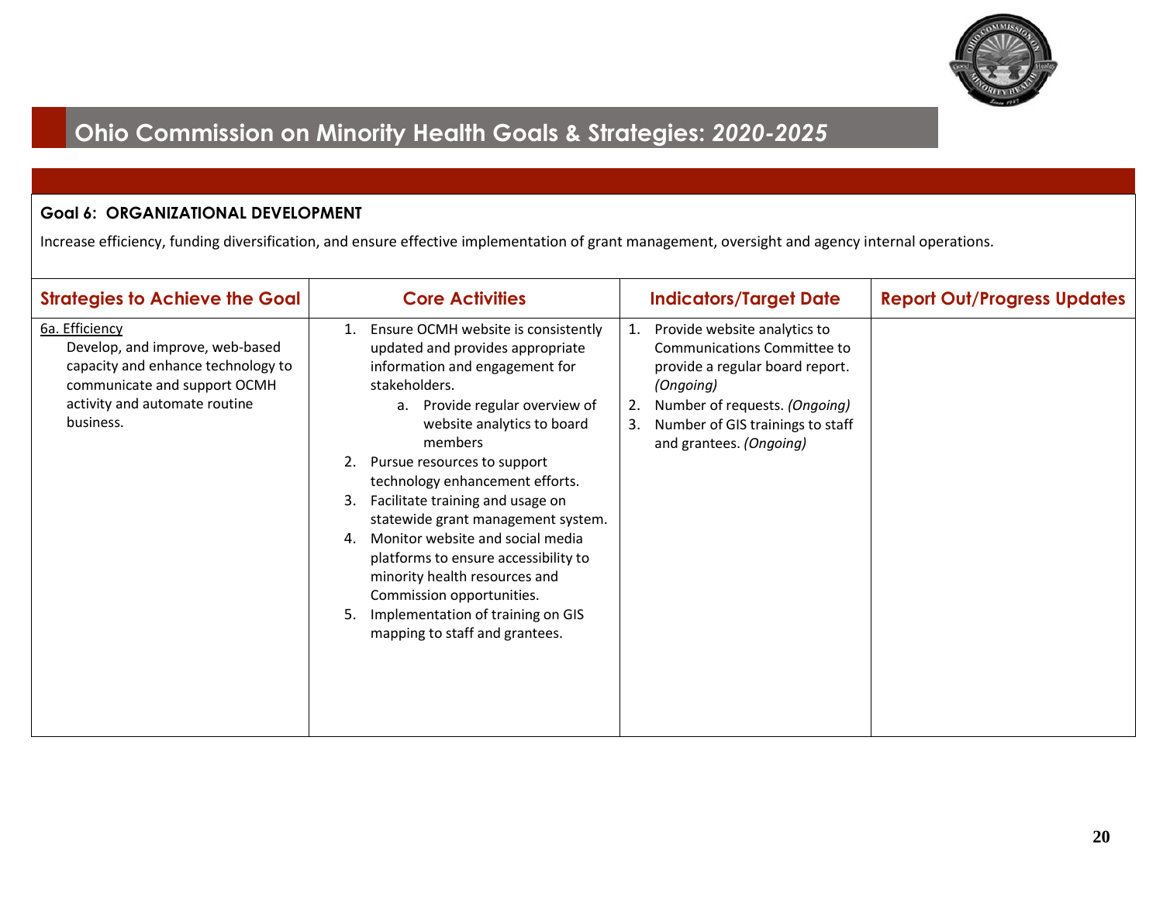

### **Goal 6: ORGANIZATIONAL DEVELOPMENT**

Increase efficiency, funding diversification, and ensure effective implementation of grant management, oversight and agency internal operations.

| <b>Strategies to Achieve the Goal</b>                                                                                                                                 | <b>Core Activities</b>                                                                                                                                                                                                                                                                                                                                                                                                                                                                                                                                                                              | <b>Indicators/Target Date</b>                                                                                                                                                                                                 | <b>Report Out/Progress Updates</b> |
|-----------------------------------------------------------------------------------------------------------------------------------------------------------------------|-----------------------------------------------------------------------------------------------------------------------------------------------------------------------------------------------------------------------------------------------------------------------------------------------------------------------------------------------------------------------------------------------------------------------------------------------------------------------------------------------------------------------------------------------------------------------------------------------------|-------------------------------------------------------------------------------------------------------------------------------------------------------------------------------------------------------------------------------|------------------------------------|
| 6a. Efficiency<br>Develop, and improve, web-based<br>capacity and enhance technology to<br>communicate and support OCMH<br>activity and automate routine<br>business. | Ensure OCMH website is consistently<br>1.<br>updated and provides appropriate<br>information and engagement for<br>stakeholders.<br>Provide regular overview of<br>a.<br>website analytics to board<br>members<br>Pursue resources to support<br>2.<br>technology enhancement efforts.<br>Facilitate training and usage on<br>3.<br>statewide grant management system.<br>Monitor website and social media<br>4.<br>platforms to ensure accessibility to<br>minority health resources and<br>Commission opportunities.<br>Implementation of training on GIS<br>5.<br>mapping to staff and grantees. | Provide website analytics to<br>1.<br>Communications Committee to<br>provide a regular board report.<br>(Ongoing)<br>Number of requests. (Ongoing)<br>2.<br>Number of GIS trainings to staff<br>3.<br>and grantees. (Ongoing) |                                    |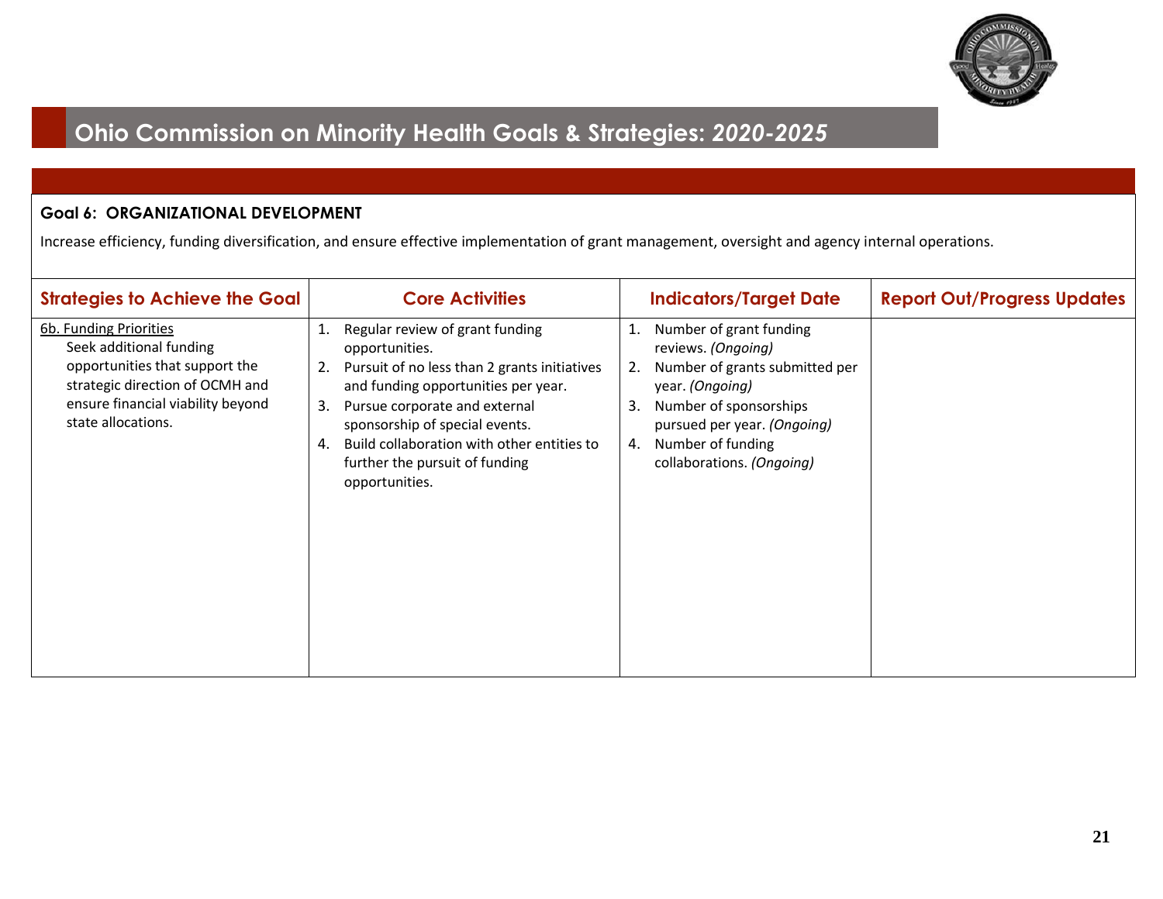

### **Goal 6: ORGANIZATIONAL DEVELOPMENT**

Increase efficiency, funding diversification, and ensure effective implementation of grant management, oversight and agency internal operations.

| <b>Strategies to Achieve the Goal</b>                                                                                                                                             | <b>Core Activities</b>                                                                                                                                                                                                                                                                                                    | <b>Indicators/Target Date</b>                                                                                                                                                                                                         | <b>Report Out/Progress Updates</b> |
|-----------------------------------------------------------------------------------------------------------------------------------------------------------------------------------|---------------------------------------------------------------------------------------------------------------------------------------------------------------------------------------------------------------------------------------------------------------------------------------------------------------------------|---------------------------------------------------------------------------------------------------------------------------------------------------------------------------------------------------------------------------------------|------------------------------------|
| 6b. Funding Priorities<br>Seek additional funding<br>opportunities that support the<br>strategic direction of OCMH and<br>ensure financial viability beyond<br>state allocations. | Regular review of grant funding<br>opportunities.<br>Pursuit of no less than 2 grants initiatives<br>and funding opportunities per year.<br>Pursue corporate and external<br>3.<br>sponsorship of special events.<br>Build collaboration with other entities to<br>4.<br>further the pursuit of funding<br>opportunities. | Number of grant funding<br>1.<br>reviews. (Ongoing)<br>Number of grants submitted per<br>2.<br>year. (Ongoing)<br>Number of sponsorships<br>3.<br>pursued per year. (Ongoing)<br>Number of funding<br>4.<br>collaborations. (Ongoing) |                                    |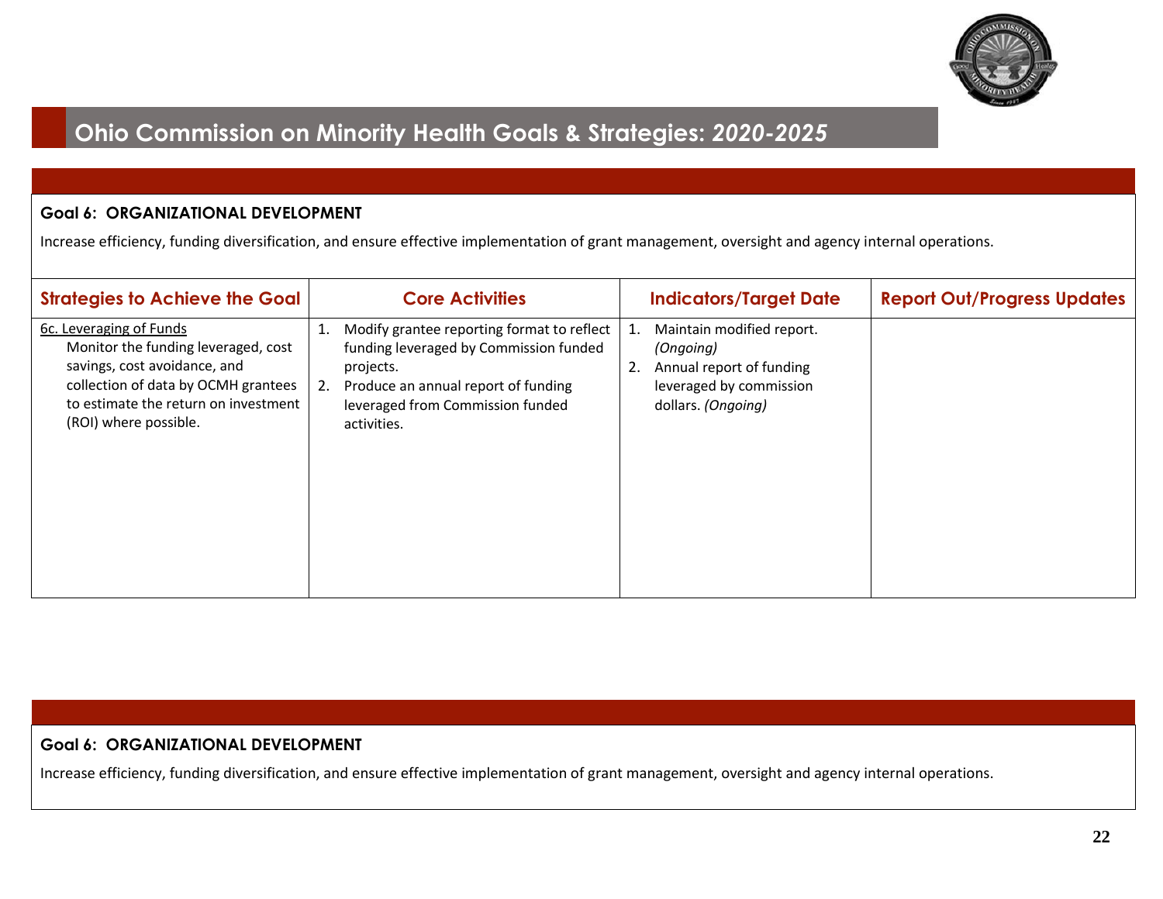

#### **Goal 6: ORGANIZATIONAL DEVELOPMENT**

Increase efficiency, funding diversification, and ensure effective implementation of grant management, oversight and agency internal operations.

| <b>Strategies to Achieve the Goal</b>                                                                                                                                                                  | <b>Core Activities</b>                                                                                                                                                                                  | <b>Indicators/Target Date</b>                                                                                                   | <b>Report Out/Progress Updates</b> |
|--------------------------------------------------------------------------------------------------------------------------------------------------------------------------------------------------------|---------------------------------------------------------------------------------------------------------------------------------------------------------------------------------------------------------|---------------------------------------------------------------------------------------------------------------------------------|------------------------------------|
| 6c. Leveraging of Funds<br>Monitor the funding leveraged, cost<br>savings, cost avoidance, and<br>collection of data by OCMH grantees<br>to estimate the return on investment<br>(ROI) where possible. | Modify grantee reporting format to reflect<br>1.<br>funding leveraged by Commission funded<br>projects.<br>Produce an annual report of funding<br>2.<br>leveraged from Commission funded<br>activities. | Maintain modified report.<br>1.<br>(Ongoing)<br>Annual report of funding<br>2.<br>leveraged by commission<br>dollars. (Ongoing) |                                    |

#### **Goal 6: ORGANIZATIONAL DEVELOPMENT**

Increase efficiency, funding diversification, and ensure effective implementation of grant management, oversight and agency internal operations.